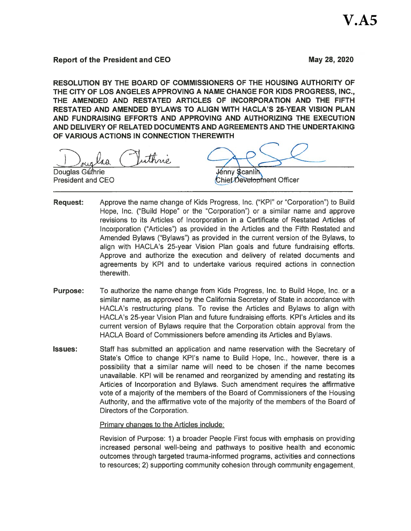# **Report of the President and CEO**

May 28, 2020

RESOLUTION BY THE BOARD OF COMMISSIONERS OF THE HOUSING AUTHORITY OF THE CITY OF LOS ANGELES APPROVING A NAME CHANGE FOR KIDS PROGRESS, INC., THE AMENDED AND RESTATED ARTICLES OF INCORPORATION AND THE FIFTH RESTATED AND AMENDED BYLAWS TO ALIGN WITH HACLA'S 25-YEAR VISION PLAN AND FUNDRAISING EFFORTS AND APPROVING AND AUTHORIZING THE EXECUTION AND DELIVERY OF RELATED DOCUMENTS AND AGREEMENTS AND THE UNDERTAKING OF VARIOUS ACTIONS IN CONNECTION THEREWITH

ithnic  $40$ 

Douglas Guthrie **President and CEO** 

*l*énny \$canli**n** Chief Development Officer

- **Request:** Approve the name change of Kids Progress, Inc. ("KPI" or "Corporation") to Build Hope, Inc. ("Build Hope" or the "Corporation") or a similar name and approve revisions to its Articles of Incorporation in a Certificate of Restated Articles of Incorporation ("Articles") as provided in the Articles and the Fifth Restated and Amended Bylaws ("Bylaws") as provided in the current version of the Bylaws, to align with HACLA's 25-year Vision Plan goals and future fundraising efforts. Approve and authorize the execution and delivery of related documents and agreements by KPI and to undertake various required actions in connection therewith.
- To authorize the name change from Kids Progress, Inc. to Build Hope, Inc. or a **Purpose:** similar name, as approved by the California Secretary of State in accordance with HACLA's restructuring plans. To revise the Articles and Bylaws to align with HACLA's 25-year Vision Plan and future fundraising efforts. KPI's Articles and its current version of Bylaws require that the Corporation obtain approval from the HACLA Board of Commissioners before amending its Articles and Bylaws.
- **Issues:** Staff has submitted an application and name reservation with the Secretary of State's Office to change KPI's name to Build Hope, Inc., however, there is a possibility that a similar name will need to be chosen if the name becomes unavailable. KPI will be renamed and reorganized by amending and restating its Articles of Incorporation and Bylaws. Such amendment requires the affirmative vote of a majority of the members of the Board of Commissioners of the Housing Authority, and the affirmative vote of the majority of the members of the Board of Directors of the Corporation.

Primary changes to the Articles include:

Revision of Purpose: 1) a broader People First focus with emphasis on providing increased personal well-being and pathways to positive health and economic outcomes through targeted trauma-informed programs, activities and connections to resources; 2) supporting community cohesion through community engagement,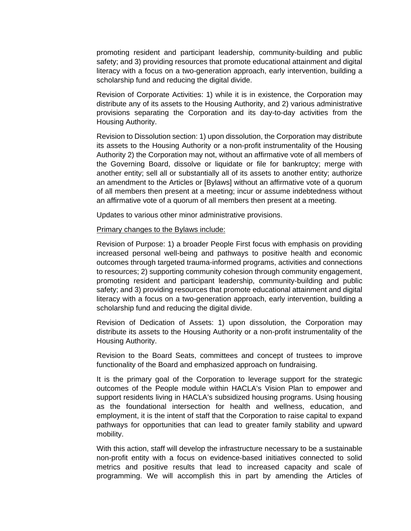promoting resident and participant leadership, community-building and public safety; and 3) providing resources that promote educational attainment and digital literacy with a focus on a two-generation approach, early intervention, building a scholarship fund and reducing the digital divide.

Revision of Corporate Activities: 1) while it is in existence, the Corporation may distribute any of its assets to the Housing Authority, and 2) various administrative provisions separating the Corporation and its day-to-day activities from the Housing Authority.

Revision to Dissolution section: 1) upon dissolution, the Corporation may distribute its assets to the Housing Authority or a non-profit instrumentality of the Housing Authority 2) the Corporation may not, without an affirmative vote of all members of the Governing Board, dissolve or liquidate or file for bankruptcy; merge with another entity; sell all or substantially all of its assets to another entity; authorize an amendment to the Articles or [Bylaws] without an affirmative vote of a quorum of all members then present at a meeting; incur or assume indebtedness without an affirmative vote of a quorum of all members then present at a meeting.

Updates to various other minor administrative provisions.

### Primary changes to the Bylaws include:

Revision of Purpose: 1) a broader People First focus with emphasis on providing increased personal well-being and pathways to positive health and economic outcomes through targeted trauma-informed programs, activities and connections to resources; 2) supporting community cohesion through community engagement, promoting resident and participant leadership, community-building and public safety; and 3) providing resources that promote educational attainment and digital literacy with a focus on a two-generation approach, early intervention, building a scholarship fund and reducing the digital divide.

 Revision of Dedication of Assets: 1) upon dissolution, the Corporation may distribute its assets to the Housing Authority or a non-profit instrumentality of the Housing Authority.

 Revision to the Board Seats, committees and concept of trustees to improve functionality of the Board and emphasized approach on fundraising.

 It is the primary goal of the Corporation to leverage support for the strategic outcomes of the People module within HACLA's Vision Plan to empower and support residents living in HACLA's subsidized housing programs. Using housing as the foundational intersection for health and wellness, education, and employment, it is the intent of staff that the Corporation to raise capital to expand pathways for opportunities that can lead to greater family stability and upward mobility.

 With this action, staff will develop the infrastructure necessary to be a sustainable non-profit entity with a focus on evidence-based initiatives connected to solid metrics and positive results that lead to increased capacity and scale of programming. We will accomplish this in part by amending the Articles of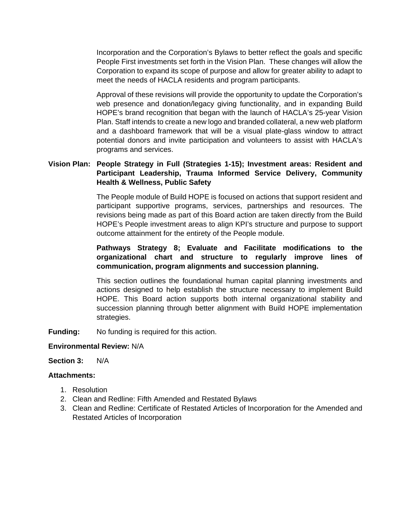Incorporation and the Corporation's Bylaws to better reflect the goals and specific People First investments set forth in the Vision Plan. These changes will allow the Corporation to expand its scope of purpose and allow for greater ability to adapt to meet the needs of HACLA residents and program participants.

Approval of these revisions will provide the opportunity to update the Corporation's web presence and donation/legacy giving functionality, and in expanding Build HOPE's brand recognition that began with the launch of HACLA's 25-year Vision Plan. Staff intends to create a new logo and branded collateral, a new web platform and a dashboard framework that will be a visual plate-glass window to attract potential donors and invite participation and volunteers to assist with HACLA's programs and services.

# **Vision Plan: People Strategy in Full (Strategies 1-15); Investment areas: Resident and Participant Leadership, Trauma Informed Service Delivery, Community Health & Wellness, Public Safety**

The People module of Build HOPE is focused on actions that support resident and participant supportive programs, services, partnerships and resources. The revisions being made as part of this Board action are taken directly from the Build HOPE's People investment areas to align KPI's structure and purpose to support outcome attainment for the entirety of the People module.

# **Pathways Strategy 8; Evaluate and Facilitate modifications to the organizational chart and structure to regularly improve lines of communication, program alignments and succession planning.**

This section outlines the foundational human capital planning investments and actions designed to help establish the structure necessary to implement Build HOPE. This Board action supports both internal organizational stability and succession planning through better alignment with Build HOPE implementation strategies.

**Funding:** No funding is required for this action.

### **Environmental Review:** N/A

### **Section 3:** N/A

### **Attachments:**

- 1. Resolution
- 2. Clean and Redline: Fifth Amended and Restated Bylaws
- 3. Clean and Redline: Certificate of Restated Articles of Incorporation for the Amended and Restated Articles of Incorporation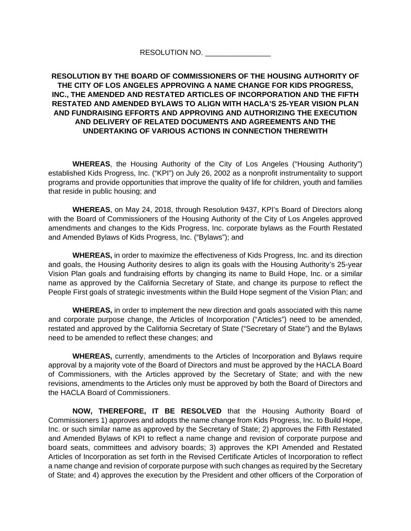### RESOLUTION NO. \_\_\_\_\_\_\_\_\_\_\_\_

# **RESOLUTION BY THE BOARD OF COMMISSIONERS OF THE HOUSING AUTHORITY OF THE CITY OF LOS ANGELES APPROVING A NAME CHANGE FOR KIDS PROGRESS, INC., THE AMENDED AND RESTATED ARTICLES OF INCORPORATION AND THE FIFTH RESTATED AND AMENDED BYLAWS TO ALIGN WITH HACLA'S 25-YEAR VISION PLAN AND FUNDRAISING EFFORTS AND APPROVING AND AUTHORIZING THE EXECUTION AND DELIVERY OF RELATED DOCUMENTS AND AGREEMENTS AND THE UNDERTAKING OF VARIOUS ACTIONS IN CONNECTION THEREWITH**

**WHEREAS**, the Housing Authority of the City of Los Angeles ("Housing Authority") established Kids Progress, Inc. ("KPI") on July 26, 2002 as a nonprofit instrumentality to support programs and provide opportunities that improve the quality of life for children, youth and families that reside in public housing; and

**WHEREAS**, on May 24, 2018, through Resolution 9437, KPI's Board of Directors along with the Board of Commissioners of the Housing Authority of the City of Los Angeles approved amendments and changes to the Kids Progress, Inc. corporate bylaws as the Fourth Restated and Amended Bylaws of Kids Progress, Inc. ("Bylaws"); and

**WHEREAS,** in order to maximize the effectiveness of Kids Progress, Inc. and its direction and goals, the Housing Authority desires to align its goals with the Housing Authority's 25-year Vision Plan goals and fundraising efforts by changing its name to Build Hope, Inc. or a similar name as approved by the California Secretary of State, and change its purpose to reflect the People First goals of strategic investments within the Build Hope segment of the Vision Plan; and

**WHEREAS,** in order to implement the new direction and goals associated with this name and corporate purpose change, the Articles of Incorporation ("Articles") need to be amended, restated and approved by the California Secretary of State ("Secretary of State") and the Bylaws need to be amended to reflect these changes; and

**WHEREAS,** currently, amendments to the Articles of Incorporation and Bylaws require approval by a majority vote of the Board of Directors and must be approved by the HACLA Board of Commissioners, with the Articles approved by the Secretary of State; and with the new revisions, amendments to the Articles only must be approved by both the Board of Directors and the HACLA Board of Commissioners.

**NOW, THEREFORE, IT BE RESOLVED** that the Housing Authority Board of Commissioners 1) approves and adopts the name change from Kids Progress, Inc. to Build Hope, Inc. or such similar name as approved by the Secretary of State; 2) approves the Fifth Restated and Amended Bylaws of KPI to reflect a name change and revision of corporate purpose and board seats, committees and advisory boards; 3) approves the KPI Amended and Restated Articles of Incorporation as set forth in the Revised Certificate Articles of Incorporation to reflect a name change and revision of corporate purpose with such changes as required by the Secretary of State; and 4) approves the execution by the President and other officers of the Corporation of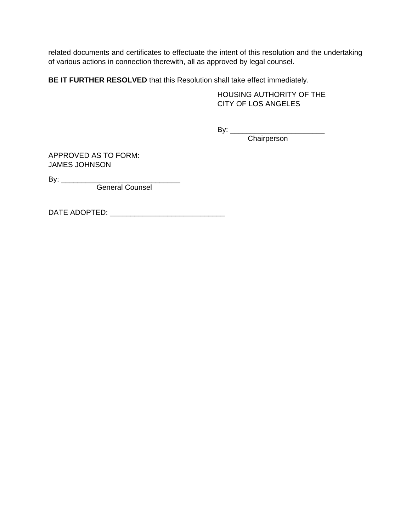related documents and certificates to effectuate the intent of this resolution and the undertaking of various actions in connection therewith, all as approved by legal counsel.

**BE IT FURTHER RESOLVED** that this Resolution shall take effect immediately.

 HOUSING AUTHORITY OF THE CITY OF LOS ANGELES

By: \_\_\_\_\_\_\_\_\_\_\_\_\_\_\_\_\_\_\_\_\_\_\_

**Chairperson** Chairperson

APPROVED AS TO FORM: JAMES JOHNSON

By: \_\_\_\_\_\_\_\_\_\_\_\_\_\_\_\_\_\_\_\_\_\_\_\_\_\_\_\_\_

General Counsel

DATE ADOPTED: \_\_\_\_\_\_\_\_\_\_\_\_\_\_\_\_\_\_\_\_\_\_\_\_\_\_\_\_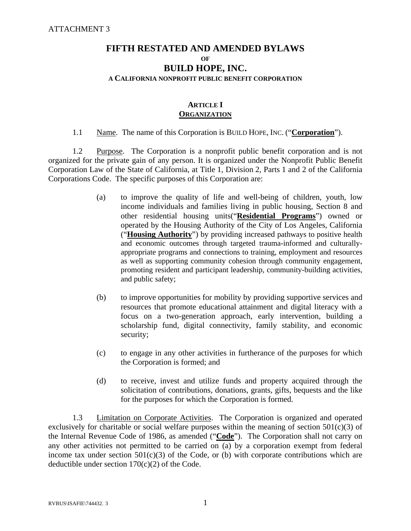# **FIFTH RESTATED AND AMENDED BYLAWS OF BUILD HOPE, INC. A CALIFORNIA NONPROFIT PUBLIC BENEFIT CORPORATION**

### **ARTICLE I ORGANIZATION**

# 1.1 Name. The name of this Corporation is BUILD HOPE, INC. ("**Corporation**").

1.2 Purpose. The Corporation is a nonprofit public benefit corporation and is not organized for the private gain of any person. It is organized under the Nonprofit Public Benefit Corporation Law of the State of California, at Title 1, Division 2, Parts 1 and 2 of the California Corporations Code. The specific purposes of this Corporation are:

- (a) to improve the quality of life and well-being of children, youth, low income individuals and families living in public housing, Section 8 and other residential housing units("**Residential Programs**") owned or operated by the Housing Authority of the City of Los Angeles, California ("**Housing Authority**") by providing increased pathways to positive health and economic outcomes through targeted trauma-informed and culturallyappropriate programs and connections to training, employment and resources as well as supporting community cohesion through community engagement, promoting resident and participant leadership, community-building activities, and public safety;
- (b) to improve opportunities for mobility by providing supportive services and resources that promote educational attainment and digital literacy with a focus on a two-generation approach, early intervention, building a scholarship fund, digital connectivity, family stability, and economic security;
- (c) to engage in any other activities in furtherance of the purposes for which the Corporation is formed; and
- (d) to receive, invest and utilize funds and property acquired through the solicitation of contributions, donations, grants, gifts, bequests and the like for the purposes for which the Corporation is formed.

 1.3 Limitation on Corporate Activities. The Corporation is organized and operated exclusively for charitable or social welfare purposes within the meaning of section  $501(c)(3)$  of the Internal Revenue Code of 1986, as amended ("**Code**"). The Corporation shall not carry on any other activities not permitted to be carried on (a) by a corporation exempt from federal income tax under section  $501(c)(3)$  of the Code, or (b) with corporate contributions which are deductible under section  $170(c)(2)$  of the Code.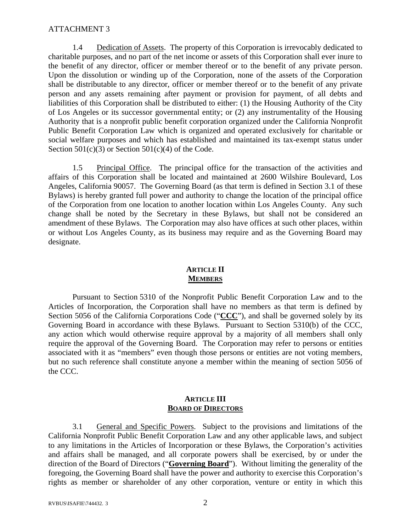1.4 Dedication of Assets. The property of this Corporation is irrevocably dedicated to charitable purposes, and no part of the net income or assets of this Corporation shall ever inure to the benefit of any director, officer or member thereof or to the benefit of any private person. Upon the dissolution or winding up of the Corporation, none of the assets of the Corporation shall be distributable to any director, officer or member thereof or to the benefit of any private person and any assets remaining after payment or provision for payment, of all debts and liabilities of this Corporation shall be distributed to either: (1) the Housing Authority of the City of Los Angeles or its successor governmental entity; or (2) any instrumentality of the Housing Authority that is a nonprofit public benefit corporation organized under the California Nonprofit Public Benefit Corporation Law which is organized and operated exclusively for charitable or social welfare purposes and which has established and maintained its tax-exempt status under Section  $501(c)(3)$  or Section  $501(c)(4)$  of the Code.

 1.5 Principal Office. The principal office for the transaction of the activities and affairs of this Corporation shall be located and maintained at 2600 Wilshire Boulevard, Los Angeles, California 90057. The Governing Board (as that term is defined in Section 3.1 of these Bylaws) is hereby granted full power and authority to change the location of the principal office of the Corporation from one location to another location within Los Angeles County. Any such change shall be noted by the Secretary in these Bylaws, but shall not be considered an amendment of these Bylaws. The Corporation may also have offices at such other places, within or without Los Angeles County, as its business may require and as the Governing Board may designate.

# **ARTICLE II MEMBERS**

 Pursuant to Section 5310 of the Nonprofit Public Benefit Corporation Law and to the Articles of Incorporation, the Corporation shall have no members as that term is defined by Section 5056 of the California Corporations Code ("CCC"), and shall be governed solely by its Governing Board in accordance with these Bylaws. Pursuant to Section 5310(b) of the CCC, any action which would otherwise require approval by a majority of all members shall only require the approval of the Governing Board. The Corporation may refer to persons or entities associated with it as "members" even though those persons or entities are not voting members, but no such reference shall constitute anyone a member within the meaning of section 5056 of the CCC.

### **ARTICLE III BOARD OF DIRECTORS**

 3.1 General and Specific Powers. Subject to the provisions and limitations of the California Nonprofit Public Benefit Corporation Law and any other applicable laws, and subject to any limitations in the Articles of Incorporation or these Bylaws, the Corporation's activities and affairs shall be managed, and all corporate powers shall be exercised, by or under the direction of the Board of Directors ("**Governing Board**"). Without limiting the generality of the foregoing, the Governing Board shall have the power and authority to exercise this Corporation's rights as member or shareholder of any other corporation, venture or entity in which this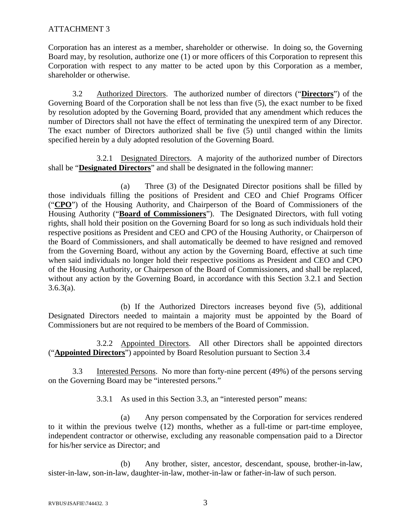Corporation has an interest as a member, shareholder or otherwise. In doing so, the Governing Board may, by resolution, authorize one (1) or more officers of this Corporation to represent this Corporation with respect to any matter to be acted upon by this Corporation as a member, shareholder or otherwise.

 3.2 Authorized Directors. The authorized number of directors ("**Directors**") of the Governing Board of the Corporation shall be not less than five (5), the exact number to be fixed by resolution adopted by the Governing Board, provided that any amendment which reduces the number of Directors shall not have the effect of terminating the unexpired term of any Director. The exact number of Directors authorized shall be five (5) until changed within the limits specified herein by a duly adopted resolution of the Governing Board.

 3.2.1 Designated Directors. A majority of the authorized number of Directors shall be "**Designated Directors**" and shall be designated in the following manner:

 (a) Three (3) of the Designated Director positions shall be filled by those individuals filling the positions of President and CEO and Chief Programs Officer ("**CPO**") of the Housing Authority, and Chairperson of the Board of Commissioners of the Housing Authority ("**Board of Commissioners**"). The Designated Directors, with full voting rights, shall hold their position on the Governing Board for so long as such individuals hold their respective positions as President and CEO and CPO of the Housing Authority, or Chairperson of the Board of Commissioners, and shall automatically be deemed to have resigned and removed from the Governing Board, without any action by the Governing Board, effective at such time when said individuals no longer hold their respective positions as President and CEO and CPO of the Housing Authority, or Chairperson of the Board of Commissioners, and shall be replaced, without any action by the Governing Board, in accordance with this Section 3.2.1 and Section  $3.6.3(a)$ .

 (b) If the Authorized Directors increases beyond five (5), additional Designated Directors needed to maintain a majority must be appointed by the Board of Commissioners but are not required to be members of the Board of Commission.

 3.2.2 Appointed Directors. All other Directors shall be appointed directors ("**Appointed Directors**") appointed by Board Resolution pursuant to Section 3.4

 3.3 Interested Persons. No more than forty-nine percent (49%) of the persons serving on the Governing Board may be "interested persons."

3.3.1 As used in this Section 3.3, an "interested person" means:

(a) Any person compensated by the Corporation for services rendered to it within the previous twelve (12) months, whether as a full-time or part-time employee, independent contractor or otherwise, excluding any reasonable compensation paid to a Director for his/her service as Director; and

(b) Any brother, sister, ancestor, descendant, spouse, brother-in-law, sister-in-law, son-in-law, daughter-in-law, mother-in-law or father-in-law of such person.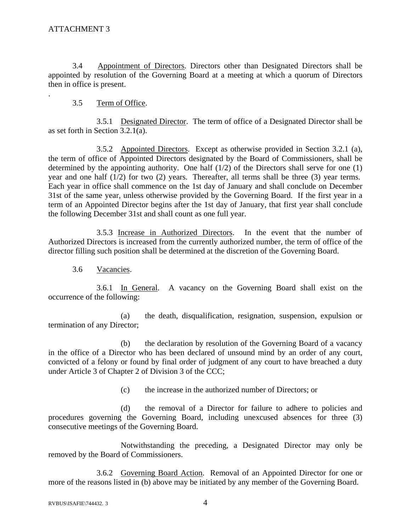.

 3.4 Appointment of Directors. Directors other than Designated Directors shall be appointed by resolution of the Governing Board at a meeting at which a quorum of Directors then in office is present.

# 3.5 Term of Office.

 3.5.1 Designated Director. The term of office of a Designated Director shall be as set forth in Section 3.2.1(a).

 3.5.2 Appointed Directors. Except as otherwise provided in Section 3.2.1 (a), the term of office of Appointed Directors designated by the Board of Commissioners, shall be determined by the appointing authority. One half  $(1/2)$  of the Directors shall serve for one  $(1)$ year and one half (1/2) for two (2) years. Thereafter, all terms shall be three (3) year terms. Each year in office shall commence on the 1st day of January and shall conclude on December 31st of the same year, unless otherwise provided by the Governing Board. If the first year in a term of an Appointed Director begins after the 1st day of January, that first year shall conclude the following December 31st and shall count as one full year.

 3.5.3 Increase in Authorized Directors. In the event that the number of Authorized Directors is increased from the currently authorized number, the term of office of the director filling such position shall be determined at the discretion of the Governing Board.

3.6 Vacancies.

 3.6.1 In General. A vacancy on the Governing Board shall exist on the occurrence of the following:

(a) the death, disqualification, resignation, suspension, expulsion or termination of any Director;

(b) the declaration by resolution of the Governing Board of a vacancy in the office of a Director who has been declared of unsound mind by an order of any court, convicted of a felony or found by final order of judgment of any court to have breached a duty under Article 3 of Chapter 2 of Division 3 of the CCC;

(c) the increase in the authorized number of Directors; or

(d) the removal of a Director for failure to adhere to policies and procedures governing the Governing Board, including unexcused absences for three (3) consecutive meetings of the Governing Board.

Notwithstanding the preceding, a Designated Director may only be removed by the Board of Commissioners.

3.6.2 Governing Board Action. Removal of an Appointed Director for one or more of the reasons listed in (b) above may be initiated by any member of the Governing Board.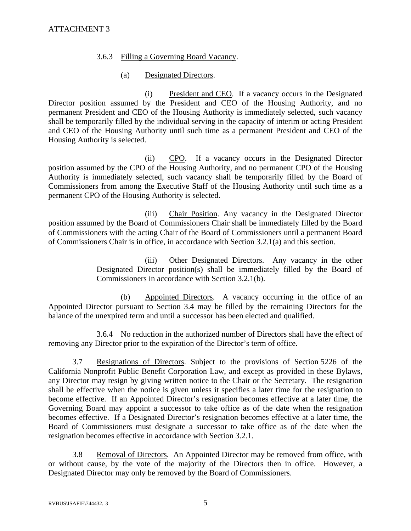# 3.6.3 Filling a Governing Board Vacancy.

# (a) Designated Directors.

 (i) President and CEO. If a vacancy occurs in the Designated Director position assumed by the President and CEO of the Housing Authority, and no permanent President and CEO of the Housing Authority is immediately selected, such vacancy shall be temporarily filled by the individual serving in the capacity of interim or acting President and CEO of the Housing Authority until such time as a permanent President and CEO of the Housing Authority is selected.

 (ii) CPO. If a vacancy occurs in the Designated Director position assumed by the CPO of the Housing Authority, and no permanent CPO of the Housing Authority is immediately selected, such vacancy shall be temporarily filled by the Board of Commissioners from among the Executive Staff of the Housing Authority until such time as a permanent CPO of the Housing Authority is selected.

 (iii) Chair Position. Any vacancy in the Designated Director position assumed by the Board of Commissioners Chair shall be immediately filled by the Board of Commissioners with the acting Chair of the Board of Commissioners until a permanent Board of Commissioners Chair is in office, in accordance with Section 3.2.1(a) and this section.

> (iii) Other Designated Directors. Any vacancy in the other Designated Director position(s) shall be immediately filled by the Board of Commissioners in accordance with Section 3.2.1(b).

 (b) Appointed Directors. A vacancy occurring in the office of an Appointed Director pursuant to Section 3.4 may be filled by the remaining Directors for the balance of the unexpired term and until a successor has been elected and qualified.

3.6.4 No reduction in the authorized number of Directors shall have the effect of removing any Director prior to the expiration of the Director's term of office.

3.7 Resignations of Directors. Subject to the provisions of Section 5226 of the California Nonprofit Public Benefit Corporation Law, and except as provided in these Bylaws, any Director may resign by giving written notice to the Chair or the Secretary. The resignation shall be effective when the notice is given unless it specifies a later time for the resignation to become effective. If an Appointed Director's resignation becomes effective at a later time, the Governing Board may appoint a successor to take office as of the date when the resignation becomes effective. If a Designated Director's resignation becomes effective at a later time, the Board of Commissioners must designate a successor to take office as of the date when the resignation becomes effective in accordance with Section 3.2.1.

3.8 Removal of Directors. An Appointed Director may be removed from office, with or without cause, by the vote of the majority of the Directors then in office. However, a Designated Director may only be removed by the Board of Commissioners.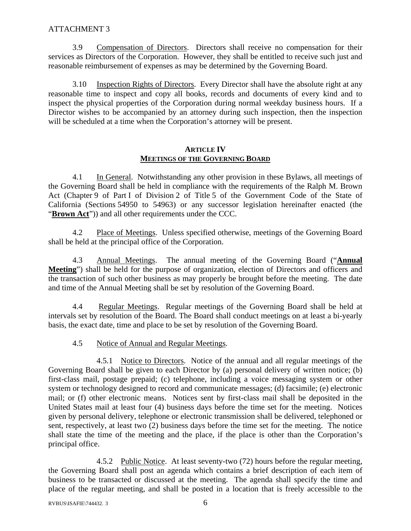3.9 Compensation of Directors. Directors shall receive no compensation for their services as Directors of the Corporation. However, they shall be entitled to receive such just and reasonable reimbursement of expenses as may be determined by the Governing Board.

3.10 Inspection Rights of Directors. Every Director shall have the absolute right at any reasonable time to inspect and copy all books, records and documents of every kind and to inspect the physical properties of the Corporation during normal weekday business hours. If a Director wishes to be accompanied by an attorney during such inspection, then the inspection will be scheduled at a time when the Corporation's attorney will be present.

### **ARTICLE IV MEETINGS OF THE GOVERNING BOARD**

4.1 In General. Notwithstanding any other provision in these Bylaws, all meetings of the Governing Board shall be held in compliance with the requirements of the Ralph M. Brown Act (Chapter 9 of Part I of Division 2 of Title 5 of the Government Code of the State of California (Sections 54950 to 54963) or any successor legislation hereinafter enacted (the "**Brown Act**")) and all other requirements under the CCC.

4.2 Place of Meetings. Unless specified otherwise, meetings of the Governing Board shall be held at the principal office of the Corporation.

4.3 Annual Meetings. The annual meeting of the Governing Board ("**Annual Meeting**") shall be held for the purpose of organization, election of Directors and officers and the transaction of such other business as may properly be brought before the meeting. The date and time of the Annual Meeting shall be set by resolution of the Governing Board.

4.4 Regular Meetings. Regular meetings of the Governing Board shall be held at intervals set by resolution of the Board. The Board shall conduct meetings on at least a bi-yearly basis, the exact date, time and place to be set by resolution of the Governing Board.

### 4.5 Notice of Annual and Regular Meetings.

 4.5.1 Notice to Directors. Notice of the annual and all regular meetings of the Governing Board shall be given to each Director by (a) personal delivery of written notice; (b) first-class mail, postage prepaid; (c) telephone, including a voice messaging system or other system or technology designed to record and communicate messages; (d) facsimile; (e) electronic mail; or (f) other electronic means. Notices sent by first-class mail shall be deposited in the United States mail at least four (4) business days before the time set for the meeting. Notices given by personal delivery, telephone or electronic transmission shall be delivered, telephoned or sent, respectively, at least two (2) business days before the time set for the meeting. The notice shall state the time of the meeting and the place, if the place is other than the Corporation's principal office.

 4.5.2 Public Notice. At least seventy-two (72) hours before the regular meeting, the Governing Board shall post an agenda which contains a brief description of each item of business to be transacted or discussed at the meeting. The agenda shall specify the time and place of the regular meeting, and shall be posted in a location that is freely accessible to the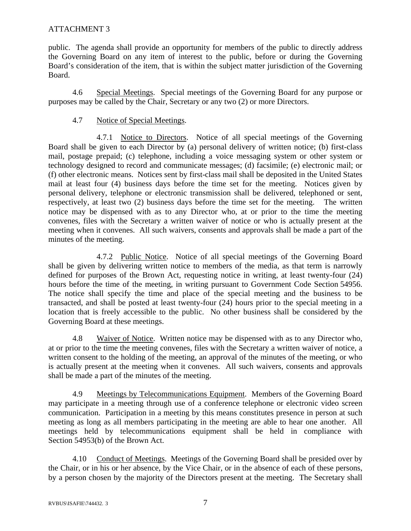public. The agenda shall provide an opportunity for members of the public to directly address the Governing Board on any item of interest to the public, before or during the Governing Board's consideration of the item, that is within the subject matter jurisdiction of the Governing Board.

4.6 Special Meetings. Special meetings of the Governing Board for any purpose or purposes may be called by the Chair, Secretary or any two (2) or more Directors.

# 4.7 Notice of Special Meetings.

 4.7.1 Notice to Directors. Notice of all special meetings of the Governing Board shall be given to each Director by (a) personal delivery of written notice; (b) first-class mail, postage prepaid; (c) telephone, including a voice messaging system or other system or technology designed to record and communicate messages; (d) facsimile; (e) electronic mail; or (f) other electronic means. Notices sent by first-class mail shall be deposited in the United States mail at least four (4) business days before the time set for the meeting. Notices given by personal delivery, telephone or electronic transmission shall be delivered, telephoned or sent, respectively, at least two (2) business days before the time set for the meeting. The written notice may be dispensed with as to any Director who, at or prior to the time the meeting convenes, files with the Secretary a written waiver of notice or who is actually present at the meeting when it convenes. All such waivers, consents and approvals shall be made a part of the minutes of the meeting.

 4.7.2 Public Notice. Notice of all special meetings of the Governing Board shall be given by delivering written notice to members of the media, as that term is narrowly defined for purposes of the Brown Act, requesting notice in writing, at least twenty-four (24) hours before the time of the meeting, in writing pursuant to Government Code Section 54956. The notice shall specify the time and place of the special meeting and the business to be transacted, and shall be posted at least twenty-four (24) hours prior to the special meeting in a location that is freely accessible to the public. No other business shall be considered by the Governing Board at these meetings.

4.8 Waiver of Notice. Written notice may be dispensed with as to any Director who, at or prior to the time the meeting convenes, files with the Secretary a written waiver of notice, a written consent to the holding of the meeting, an approval of the minutes of the meeting, or who is actually present at the meeting when it convenes. All such waivers, consents and approvals shall be made a part of the minutes of the meeting.

4.9 Meetings by Telecommunications Equipment. Members of the Governing Board may participate in a meeting through use of a conference telephone or electronic video screen communication. Participation in a meeting by this means constitutes presence in person at such meeting as long as all members participating in the meeting are able to hear one another. All meetings held by telecommunications equipment shall be held in compliance with Section 54953(b) of the Brown Act.

4.10 Conduct of Meetings. Meetings of the Governing Board shall be presided over by the Chair, or in his or her absence, by the Vice Chair, or in the absence of each of these persons, by a person chosen by the majority of the Directors present at the meeting. The Secretary shall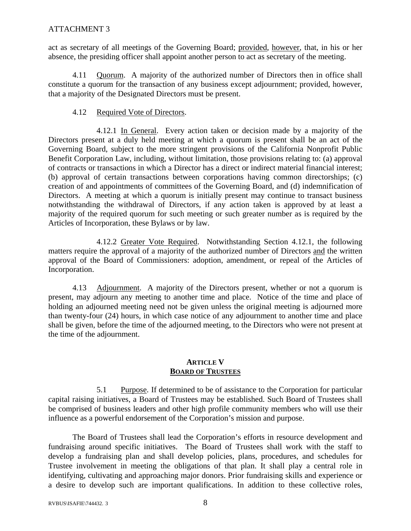act as secretary of all meetings of the Governing Board; provided, however, that, in his or her absence, the presiding officer shall appoint another person to act as secretary of the meeting.

4.11 Quorum. A majority of the authorized number of Directors then in office shall constitute a quorum for the transaction of any business except adjournment; provided, however, that a majority of the Designated Directors must be present.

### 4.12 Required Vote of Directors.

 4.12.1 In General. Every action taken or decision made by a majority of the Directors present at a duly held meeting at which a quorum is present shall be an act of the Governing Board, subject to the more stringent provisions of the California Nonprofit Public Benefit Corporation Law, including, without limitation, those provisions relating to: (a) approval of contracts or transactions in which a Director has a direct or indirect material financial interest; (b) approval of certain transactions between corporations having common directorships; (c) creation of and appointments of committees of the Governing Board, and (d) indemnification of Directors. A meeting at which a quorum is initially present may continue to transact business notwithstanding the withdrawal of Directors, if any action taken is approved by at least a majority of the required quorum for such meeting or such greater number as is required by the Articles of Incorporation, these Bylaws or by law.

 4.12.2 Greater Vote Required. Notwithstanding Section 4.12.1, the following matters require the approval of a majority of the authorized number of Directors and the written approval of the Board of Commissioners: adoption, amendment, or repeal of the Articles of Incorporation.

4.13 Adjournment. A majority of the Directors present, whether or not a quorum is present, may adjourn any meeting to another time and place. Notice of the time and place of holding an adjourned meeting need not be given unless the original meeting is adjourned more than twenty-four (24) hours, in which case notice of any adjournment to another time and place shall be given, before the time of the adjourned meeting, to the Directors who were not present at the time of the adjournment.

### **ARTICLE V BOARD OF TRUSTEES**

 5.1 Purpose. If determined to be of assistance to the Corporation for particular capital raising initiatives, a Board of Trustees may be established. Such Board of Trustees shall be comprised of business leaders and other high profile community members who will use their influence as a powerful endorsement of the Corporation's mission and purpose.

The Board of Trustees shall lead the Corporation's efforts in resource development and fundraising around specific initiatives. The Board of Trustees shall work with the staff to develop a fundraising plan and shall develop policies, plans, procedures, and schedules for Trustee involvement in meeting the obligations of that plan. It shall play a central role in identifying, cultivating and approaching major donors. Prior fundraising skills and experience or a desire to develop such are important qualifications. In addition to these collective roles,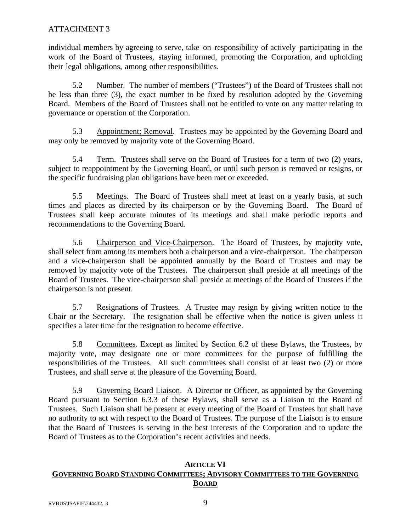individual members by agreeing to serve, take on responsibility of actively participating in the work of the Board of Trustees, staying informed, promoting the Corporation, and upholding their legal obligations, among other responsibilities.

 5.2 Number. The number of members ("Trustees") of the Board of Trustees shall not be less than three (3), the exact number to be fixed by resolution adopted by the Governing Board. Members of the Board of Trustees shall not be entitled to vote on any matter relating to governance or operation of the Corporation.

 5.3 Appointment; Removal. Trustees may be appointed by the Governing Board and may only be removed by majority vote of the Governing Board.

 5.4 Term. Trustees shall serve on the Board of Trustees for a term of two (2) years, subject to reappointment by the Governing Board, or until such person is removed or resigns, or the specific fundraising plan obligations have been met or exceeded.

 5.5 Meetings. The Board of Trustees shall meet at least on a yearly basis, at such times and places as directed by its chairperson or by the Governing Board. The Board of Trustees shall keep accurate minutes of its meetings and shall make periodic reports and recommendations to the Governing Board.

 5.6 Chairperson and Vice-Chairperson. The Board of Trustees, by majority vote, shall select from among its members both a chairperson and a vice-chairperson. The chairperson and a vice-chairperson shall be appointed annually by the Board of Trustees and may be removed by majority vote of the Trustees. The chairperson shall preside at all meetings of the Board of Trustees. The vice-chairperson shall preside at meetings of the Board of Trustees if the chairperson is not present.

 5.7 Resignations of Trustees. A Trustee may resign by giving written notice to the Chair or the Secretary. The resignation shall be effective when the notice is given unless it specifies a later time for the resignation to become effective.

 5.8 Committees. Except as limited by Section 6.2 of these Bylaws, the Trustees, by majority vote, may designate one or more committees for the purpose of fulfilling the responsibilities of the Trustees. All such committees shall consist of at least two (2) or more Trustees, and shall serve at the pleasure of the Governing Board.

5.9 Governing Board Liaison. A Director or Officer, as appointed by the Governing Board pursuant to Section 6.3.3 of these Bylaws, shall serve as a Liaison to the Board of Trustees. Such Liaison shall be present at every meeting of the Board of Trustees but shall have no authority to act with respect to the Board of Trustees. The purpose of the Liaison is to ensure that the Board of Trustees is serving in the best interests of the Corporation and to update the Board of Trustees as to the Corporation's recent activities and needs.

### **ARTICLE VI GOVERNING BOARD STANDING COMMITTEES; ADVISORY COMMITTEES TO THE GOVERNING BOARD**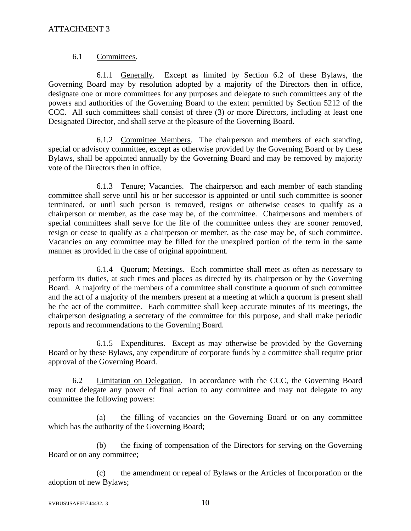### 6.1 Committees.

6.1.1 Generally. Except as limited by Section 6.2 of these Bylaws, the Governing Board may by resolution adopted by a majority of the Directors then in office, designate one or more committees for any purposes and delegate to such committees any of the powers and authorities of the Governing Board to the extent permitted by Section 5212 of the CCC. All such committees shall consist of three (3) or more Directors, including at least one Designated Director, and shall serve at the pleasure of the Governing Board.

6.1.2 Committee Members. The chairperson and members of each standing, special or advisory committee, except as otherwise provided by the Governing Board or by these Bylaws, shall be appointed annually by the Governing Board and may be removed by majority vote of the Directors then in office.

6.1.3 Tenure; Vacancies. The chairperson and each member of each standing committee shall serve until his or her successor is appointed or until such committee is sooner terminated, or until such person is removed, resigns or otherwise ceases to qualify as a chairperson or member, as the case may be, of the committee. Chairpersons and members of special committees shall serve for the life of the committee unless they are sooner removed, resign or cease to qualify as a chairperson or member, as the case may be, of such committee. Vacancies on any committee may be filled for the unexpired portion of the term in the same manner as provided in the case of original appointment.

6.1.4 Quorum; Meetings. Each committee shall meet as often as necessary to perform its duties, at such times and places as directed by its chairperson or by the Governing Board. A majority of the members of a committee shall constitute a quorum of such committee and the act of a majority of the members present at a meeting at which a quorum is present shall be the act of the committee. Each committee shall keep accurate minutes of its meetings, the chairperson designating a secretary of the committee for this purpose, and shall make periodic reports and recommendations to the Governing Board.

6.1.5 Expenditures. Except as may otherwise be provided by the Governing Board or by these Bylaws, any expenditure of corporate funds by a committee shall require prior approval of the Governing Board.

 6.2 Limitation on Delegation. In accordance with the CCC, the Governing Board may not delegate any power of final action to any committee and may not delegate to any committee the following powers:

(a) the filling of vacancies on the Governing Board or on any committee which has the authority of the Governing Board;

(b) the fixing of compensation of the Directors for serving on the Governing Board or on any committee;

(c) the amendment or repeal of Bylaws or the Articles of Incorporation or the adoption of new Bylaws;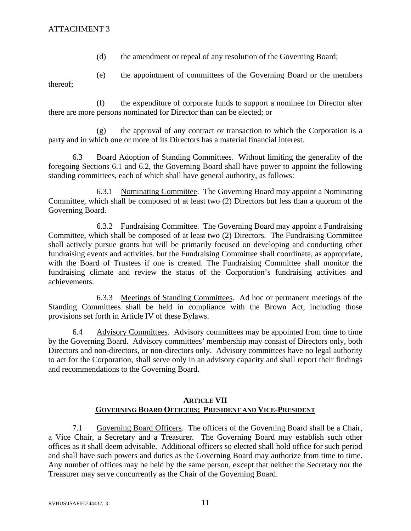(d) the amendment or repeal of any resolution of the Governing Board;

(e) the appointment of committees of the Governing Board or the members thereof;

(f) the expenditure of corporate funds to support a nominee for Director after there are more persons nominated for Director than can be elected; or

(g) the approval of any contract or transaction to which the Corporation is a party and in which one or more of its Directors has a material financial interest.

6.3 Board Adoption of Standing Committees. Without limiting the generality of the foregoing Sections 6.1 and 6.2, the Governing Board shall have power to appoint the following standing committees, each of which shall have general authority, as follows:

 6.3.1 Nominating Committee. The Governing Board may appoint a Nominating Committee, which shall be composed of at least two (2) Directors but less than a quorum of the Governing Board.

 6.3.2 Fundraising Committee. The Governing Board may appoint a Fundraising Committee, which shall be composed of at least two (2) Directors. The Fundraising Committee shall actively pursue grants but will be primarily focused on developing and conducting other fundraising events and activities. but the Fundraising Committee shall coordinate, as appropriate, with the Board of Trustees if one is created. The Fundraising Committee shall monitor the fundraising climate and review the status of the Corporation's fundraising activities and achievements.

 6.3.3 Meetings of Standing Committees. Ad hoc or permanent meetings of the Standing Committees shall be held in compliance with the Brown Act, including those provisions set forth in Article IV of these Bylaws.

6.4 Advisory Committees. Advisory committees may be appointed from time to time by the Governing Board. Advisory committees' membership may consist of Directors only, both Directors and non-directors, or non-directors only. Advisory committees have no legal authority to act for the Corporation, shall serve only in an advisory capacity and shall report their findings and recommendations to the Governing Board.

# **ARTICLE VII GOVERNING BOARD OFFICERS; PRESIDENT AND VICE-PRESIDENT**

 7.1 Governing Board Officers. The officers of the Governing Board shall be a Chair, a Vice Chair, a Secretary and a Treasurer. The Governing Board may establish such other offices as it shall deem advisable. Additional officers so elected shall hold office for such period and shall have such powers and duties as the Governing Board may authorize from time to time. Any number of offices may be held by the same person, except that neither the Secretary nor the Treasurer may serve concurrently as the Chair of the Governing Board.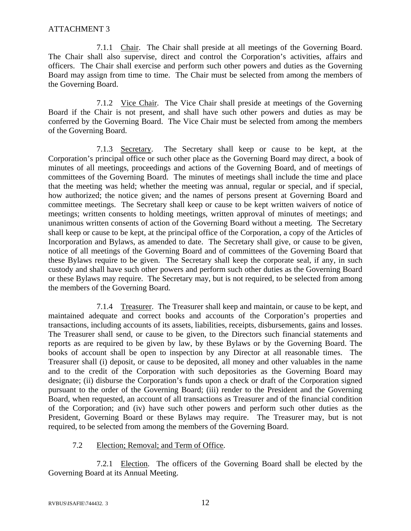7.1.1 Chair. The Chair shall preside at all meetings of the Governing Board. The Chair shall also supervise, direct and control the Corporation's activities, affairs and officers. The Chair shall exercise and perform such other powers and duties as the Governing Board may assign from time to time. The Chair must be selected from among the members of the Governing Board.

7.1.2 Vice Chair. The Vice Chair shall preside at meetings of the Governing Board if the Chair is not present, and shall have such other powers and duties as may be conferred by the Governing Board. The Vice Chair must be selected from among the members of the Governing Board.

 7.1.3 Secretary. The Secretary shall keep or cause to be kept, at the Corporation's principal office or such other place as the Governing Board may direct, a book of minutes of all meetings, proceedings and actions of the Governing Board, and of meetings of committees of the Governing Board. The minutes of meetings shall include the time and place that the meeting was held; whether the meeting was annual, regular or special, and if special, how authorized; the notice given; and the names of persons present at Governing Board and committee meetings. The Secretary shall keep or cause to be kept written waivers of notice of meetings; written consents to holding meetings, written approval of minutes of meetings; and unanimous written consents of action of the Governing Board without a meeting. The Secretary shall keep or cause to be kept, at the principal office of the Corporation, a copy of the Articles of Incorporation and Bylaws, as amended to date. The Secretary shall give, or cause to be given, notice of all meetings of the Governing Board and of committees of the Governing Board that these Bylaws require to be given. The Secretary shall keep the corporate seal, if any, in such custody and shall have such other powers and perform such other duties as the Governing Board or these Bylaws may require. The Secretary may, but is not required, to be selected from among the members of the Governing Board.

 7.1.4 Treasurer. The Treasurer shall keep and maintain, or cause to be kept, and maintained adequate and correct books and accounts of the Corporation's properties and transactions, including accounts of its assets, liabilities, receipts, disbursements, gains and losses. The Treasurer shall send, or cause to be given, to the Directors such financial statements and reports as are required to be given by law, by these Bylaws or by the Governing Board. The books of account shall be open to inspection by any Director at all reasonable times. The Treasurer shall (i) deposit, or cause to be deposited, all money and other valuables in the name and to the credit of the Corporation with such depositories as the Governing Board may designate; (ii) disburse the Corporation's funds upon a check or draft of the Corporation signed pursuant to the order of the Governing Board; (iii) render to the President and the Governing Board, when requested, an account of all transactions as Treasurer and of the financial condition of the Corporation; and (iv) have such other powers and perform such other duties as the President, Governing Board or these Bylaws may require. The Treasurer may, but is not required, to be selected from among the members of the Governing Board.

### 7.2 Election; Removal; and Term of Office.

7.2.1 Election. The officers of the Governing Board shall be elected by the Governing Board at its Annual Meeting.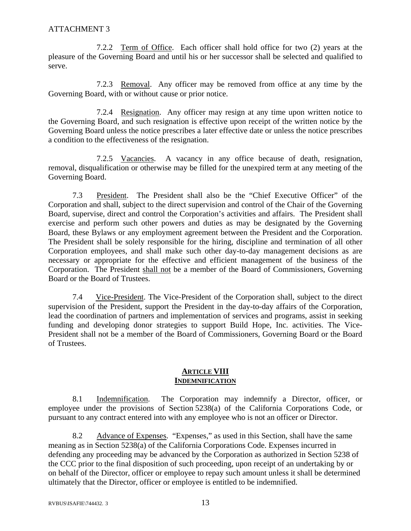7.2.2 Term of Office. Each officer shall hold office for two (2) years at the pleasure of the Governing Board and until his or her successor shall be selected and qualified to serve.

7.2.3 Removal. Any officer may be removed from office at any time by the Governing Board, with or without cause or prior notice.

7.2.4 Resignation. Any officer may resign at any time upon written notice to the Governing Board, and such resignation is effective upon receipt of the written notice by the Governing Board unless the notice prescribes a later effective date or unless the notice prescribes a condition to the effectiveness of the resignation.

7.2.5 Vacancies. A vacancy in any office because of death, resignation, removal, disqualification or otherwise may be filled for the unexpired term at any meeting of the Governing Board.

7.3 President. The President shall also be the "Chief Executive Officer" of the Corporation and shall, subject to the direct supervision and control of the Chair of the Governing Board, supervise, direct and control the Corporation's activities and affairs. The President shall exercise and perform such other powers and duties as may be designated by the Governing Board, these Bylaws or any employment agreement between the President and the Corporation. The President shall be solely responsible for the hiring, discipline and termination of all other Corporation employees, and shall make such other day-to-day management decisions as are necessary or appropriate for the effective and efficient management of the business of the Corporation. The President shall not be a member of the Board of Commissioners, Governing Board or the Board of Trustees.

7.4 Vice-President. The Vice-President of the Corporation shall, subject to the direct supervision of the President, support the President in the day-to-day affairs of the Corporation, lead the coordination of partners and implementation of services and programs, assist in seeking funding and developing donor strategies to support Build Hope, Inc. activities. The Vice-President shall not be a member of the Board of Commissioners, Governing Board or the Board of Trustees.

### **ARTICLE VIII INDEMNIFICATION**

 8.1 Indemnification. The Corporation may indemnify a Director, officer, or employee under the provisions of Section 5238(a) of the California Corporations Code, or pursuant to any contract entered into with any employee who is not an officer or Director.

8.2 Advance of Expenses. "Expenses," as used in this Section, shall have the same meaning as in Section 5238(a) of the California Corporations Code. Expenses incurred in defending any proceeding may be advanced by the Corporation as authorized in Section 5238 of the CCC prior to the final disposition of such proceeding, upon receipt of an undertaking by or on behalf of the Director, officer or employee to repay such amount unless it shall be determined ultimately that the Director, officer or employee is entitled to be indemnified.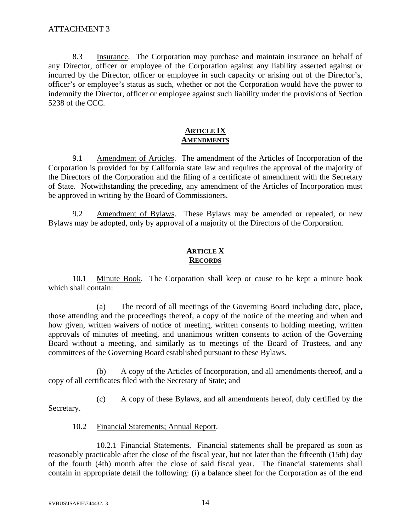8.3 Insurance. The Corporation may purchase and maintain insurance on behalf of any Director, officer or employee of the Corporation against any liability asserted against or incurred by the Director, officer or employee in such capacity or arising out of the Director's, officer's or employee's status as such, whether or not the Corporation would have the power to indemnify the Director, officer or employee against such liability under the provisions of Section 5238 of the CCC.

## **ARTICLE IX AMENDMENTS**

9.1 Amendment of Articles. The amendment of the Articles of Incorporation of the Corporation is provided for by California state law and requires the approval of the majority of the Directors of the Corporation and the filing of a certificate of amendment with the Secretary of State. Notwithstanding the preceding, any amendment of the Articles of Incorporation must be approved in writing by the Board of Commissioners.

 9.2 Amendment of Bylaws. These Bylaws may be amended or repealed, or new Bylaws may be adopted, only by approval of a majority of the Directors of the Corporation.

# **ARTICLE X RECORDS**

10.1 Minute Book. The Corporation shall keep or cause to be kept a minute book which shall contain:

(a) The record of all meetings of the Governing Board including date, place, those attending and the proceedings thereof, a copy of the notice of the meeting and when and how given, written waivers of notice of meeting, written consents to holding meeting, written approvals of minutes of meeting, and unanimous written consents to action of the Governing Board without a meeting, and similarly as to meetings of the Board of Trustees, and any committees of the Governing Board established pursuant to these Bylaws.

(b) A copy of the Articles of Incorporation, and all amendments thereof, and a copy of all certificates filed with the Secretary of State; and

(c) A copy of these Bylaws, and all amendments hereof, duly certified by the Secretary.

### 10.2 Financial Statements; Annual Report.

 10.2.1 Financial Statements. Financial statements shall be prepared as soon as reasonably practicable after the close of the fiscal year, but not later than the fifteenth (15th) day of the fourth (4th) month after the close of said fiscal year. The financial statements shall contain in appropriate detail the following: (i) a balance sheet for the Corporation as of the end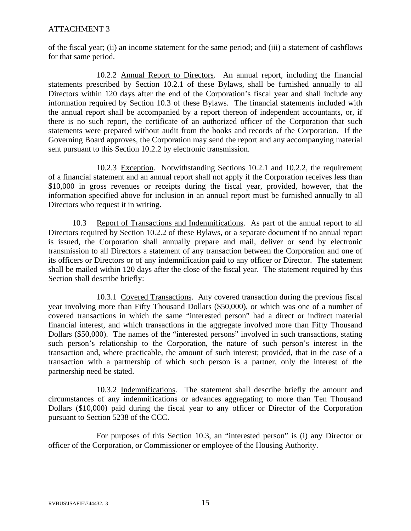of the fiscal year; (ii) an income statement for the same period; and (iii) a statement of cashflows for that same period.

 10.2.2 Annual Report to Directors. An annual report, including the financial statements prescribed by Section 10.2.1 of these Bylaws, shall be furnished annually to all Directors within 120 days after the end of the Corporation's fiscal year and shall include any information required by Section 10.3 of these Bylaws. The financial statements included with the annual report shall be accompanied by a report thereon of independent accountants, or, if there is no such report, the certificate of an authorized officer of the Corporation that such statements were prepared without audit from the books and records of the Corporation. If the Governing Board approves, the Corporation may send the report and any accompanying material sent pursuant to this Section 10.2.2 by electronic transmission.

 10.2.3 Exception. Notwithstanding Sections 10.2.1 and 10.2.2, the requirement of a financial statement and an annual report shall not apply if the Corporation receives less than \$10,000 in gross revenues or receipts during the fiscal year, provided, however, that the information specified above for inclusion in an annual report must be furnished annually to all Directors who request it in writing.

10.3 Report of Transactions and Indemnifications. As part of the annual report to all Directors required by Section 10.2.2 of these Bylaws, or a separate document if no annual report is issued, the Corporation shall annually prepare and mail, deliver or send by electronic transmission to all Directors a statement of any transaction between the Corporation and one of its officers or Directors or of any indemnification paid to any officer or Director. The statement shall be mailed within 120 days after the close of the fiscal year. The statement required by this Section shall describe briefly:

10.3.1 Covered Transactions. Any covered transaction during the previous fiscal year involving more than Fifty Thousand Dollars (\$50,000), or which was one of a number of covered transactions in which the same "interested person" had a direct or indirect material financial interest, and which transactions in the aggregate involved more than Fifty Thousand Dollars (\$50,000). The names of the "interested persons" involved in such transactions, stating such person's relationship to the Corporation, the nature of such person's interest in the transaction and, where practicable, the amount of such interest; provided, that in the case of a transaction with a partnership of which such person is a partner, only the interest of the partnership need be stated.

10.3.2 Indemnifications. The statement shall describe briefly the amount and circumstances of any indemnifications or advances aggregating to more than Ten Thousand Dollars (\$10,000) paid during the fiscal year to any officer or Director of the Corporation pursuant to Section 5238 of the CCC.

For purposes of this Section 10.3, an "interested person" is (i) any Director or officer of the Corporation, or Commissioner or employee of the Housing Authority.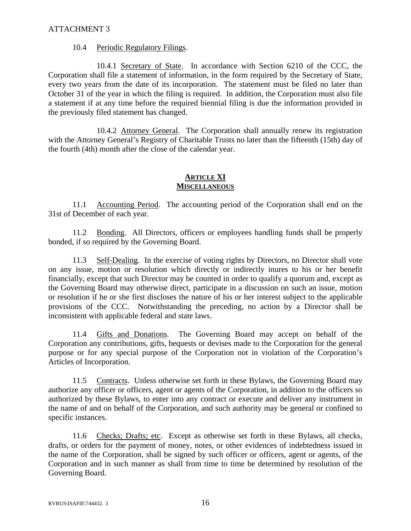### 10.4 Periodic Regulatory Filings.

 10.4.1 Secretary of State. In accordance with Section 6210 of the CCC, the Corporation shall file a statement of information, in the form required by the Secretary of State, every two years from the date of its incorporation. The statement must be filed no later than October 31 of the year in which the filing is required. In addition, the Corporation must also file a statement if at any time before the required biennial filing is due the information provided in the previously filed statement has changed.

 10.4.2 Attorney General. The Corporation shall annually renew its registration with the Attorney General's Registry of Charitable Trusts no later than the fifteenth (15th) day of the fourth (4th) month after the close of the calendar year.

### **ARTICLE XI MISCELLANEOUS**

 11.1 Accounting Period. The accounting period of the Corporation shall end on the 31st of December of each year.

11.2 Bonding. All Directors, officers or employees handling funds shall be properly bonded, if so required by the Governing Board.

 11.3 Self-Dealing. In the exercise of voting rights by Directors, no Director shall vote on any issue, motion or resolution which directly or indirectly inures to his or her benefit financially, except that such Director may be counted in order to qualify a quorum and, except as the Governing Board may otherwise direct, participate in a discussion on such an issue, motion or resolution if he or she first discloses the nature of his or her interest subject to the applicable provisions of the CCC. Notwithstanding the preceding, no action by a Director shall be inconsistent with applicable federal and state laws.

11.4 Gifts and Donations. The Governing Board may accept on behalf of the Corporation any contributions, gifts, bequests or devises made to the Corporation for the general purpose or for any special purpose of the Corporation not in violation of the Corporation's Articles of Incorporation.

11.5 Contracts. Unless otherwise set forth in these Bylaws, the Governing Board may authorize any officer or officers, agent or agents of the Corporation, in addition to the officers so authorized by these Bylaws, to enter into any contract or execute and deliver any instrument in the name of and on behalf of the Corporation, and such authority may be general or confined to specific instances.

11.6 Checks; Drafts; etc. Except as otherwise set forth in these Bylaws, all checks, drafts, or orders for the payment of money, notes, or other evidences of indebtedness issued in the name of the Corporation, shall be signed by such officer or officers, agent or agents, of the Corporation and in such manner as shall from time to time be determined by resolution of the Governing Board.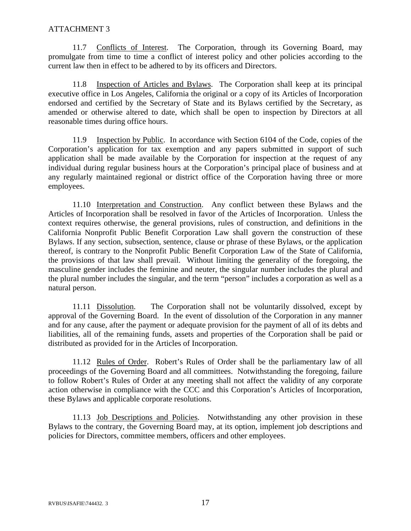11.7 Conflicts of Interest. The Corporation, through its Governing Board, may promulgate from time to time a conflict of interest policy and other policies according to the current law then in effect to be adhered to by its officers and Directors.

11.8 Inspection of Articles and Bylaws. The Corporation shall keep at its principal executive office in Los Angeles, California the original or a copy of its Articles of Incorporation endorsed and certified by the Secretary of State and its Bylaws certified by the Secretary, as amended or otherwise altered to date, which shall be open to inspection by Directors at all reasonable times during office hours.

11.9 Inspection by Public. In accordance with Section 6104 of the Code, copies of the Corporation's application for tax exemption and any papers submitted in support of such application shall be made available by the Corporation for inspection at the request of any individual during regular business hours at the Corporation's principal place of business and at any regularly maintained regional or district office of the Corporation having three or more employees.

11.10 Interpretation and Construction. Any conflict between these Bylaws and the Articles of Incorporation shall be resolved in favor of the Articles of Incorporation. Unless the context requires otherwise, the general provisions, rules of construction, and definitions in the California Nonprofit Public Benefit Corporation Law shall govern the construction of these Bylaws. If any section, subsection, sentence, clause or phrase of these Bylaws, or the application thereof, is contrary to the Nonprofit Public Benefit Corporation Law of the State of California, the provisions of that law shall prevail. Without limiting the generality of the foregoing, the masculine gender includes the feminine and neuter, the singular number includes the plural and the plural number includes the singular, and the term "person" includes a corporation as well as a natural person.

11.11 Dissolution. The Corporation shall not be voluntarily dissolved, except by approval of the Governing Board. In the event of dissolution of the Corporation in any manner and for any cause, after the payment or adequate provision for the payment of all of its debts and liabilities, all of the remaining funds, assets and properties of the Corporation shall be paid or distributed as provided for in the Articles of Incorporation.

11.12 Rules of Order. Robert's Rules of Order shall be the parliamentary law of all proceedings of the Governing Board and all committees. Notwithstanding the foregoing, failure to follow Robert's Rules of Order at any meeting shall not affect the validity of any corporate action otherwise in compliance with the CCC and this Corporation's Articles of Incorporation, these Bylaws and applicable corporate resolutions.

 11.13 Job Descriptions and Policies. Notwithstanding any other provision in these Bylaws to the contrary, the Governing Board may, at its option, implement job descriptions and policies for Directors, committee members, officers and other employees.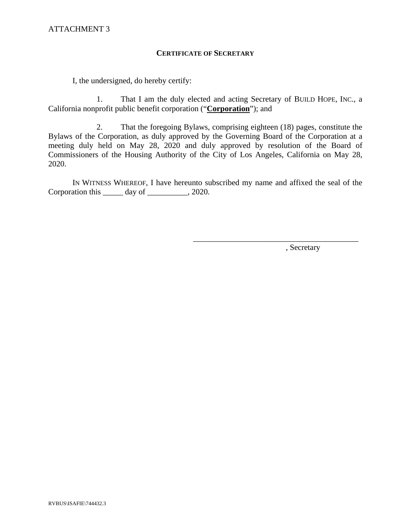### **CERTIFICATE OF SECRETARY**

I, the undersigned, do hereby certify:

1. That I am the duly elected and acting Secretary of BUILD HOPE, INC., a California nonprofit public benefit corporation ("**Corporation**"); and

2. That the foregoing Bylaws, comprising eighteen (18) pages, constitute the Bylaws of the Corporation, as duly approved by the Governing Board of the Corporation at a meeting duly held on May 28, 2020 and duly approved by resolution of the Board of Commissioners of the Housing Authority of the City of Los Angeles, California on May 28, 2020.

IN WITNESS WHEREOF, I have hereunto subscribed my name and affixed the seal of the Corporation this day of  $\qquad \qquad$  2020.

, Secretary

\_\_\_\_\_\_\_\_\_\_\_\_\_\_\_\_\_\_\_\_\_\_\_\_\_\_\_\_\_\_\_\_\_\_\_\_\_\_\_\_\_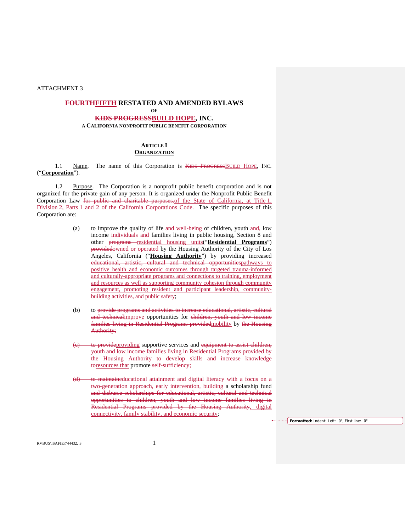### **FOURTHFIFTH RESTATED AND AMENDED BYLAWS**

#### **OF KIDS PROGRESSBUILD HOPE, INC.**

**A CALIFORNIA NONPROFIT PUBLIC BENEFIT CORPORATION**

#### **ARTICLE I ORGANIZATION**

1.1 Name. The name of this Corporation is KIDS PROGRESSBUILD HOPE, INC. ("**Corporation**").

 1.2 Purpose. The Corporation is a nonprofit public benefit corporation and is not organized for the private gain of any person. It is organized under the Nonprofit Public Benefit Corporation Law for public and charitable purposes. of the State of California, at Title 1, Division 2, Parts 1 and 2 of the California Corporations Code. The specific purposes of this Corporation are:

- (a) to improve the quality of life and well-being of children, youth- $\frac{1}{\alpha}$  low income individuals and families living in public housing, Section 8 and other **programs** residential housing units("**Residential Programs**") providedowned or operated by the Housing Authority of the City of Los Angeles, California ("**Housing Authority**") by providing increased educational, artistic, cultural and technical opportunitiespathways to positive health and economic outcomes through targeted trauma-informed and culturally-appropriate programs and connections to training, employment and resources as well as supporting community cohesion through community engagement, promoting resident and participant leadership, communitybuilding activities, and public safety;
- (b) to provide programs and activities to increase educational, artistic, cultural and technicalimprove opportunities for children, youth and low income families living in Residential Programs providedmobility by the Housing Authority;
- (e) to provideproviding supportive services and equipment to assist children, youth and low income families living in Residential Programs provided by the Housing Authority to develop skills and increase knowledge toresources that promote self-sufficiency;
- (d) to maintaineducational attainment and digital literacy with a focus on a two-generation approach, early intervention, building a scholarship fund and disburse scholarships for educational, artistic, cultural and technical opportunities to children, youth and low income families living in Residential Programs provided by the Housing Authority, digital connectivity, family stability, and economic security;

**Formatted:** Indent: Left: 0", First line: 0"

RVBUS\ISAFIE\744432. 3 1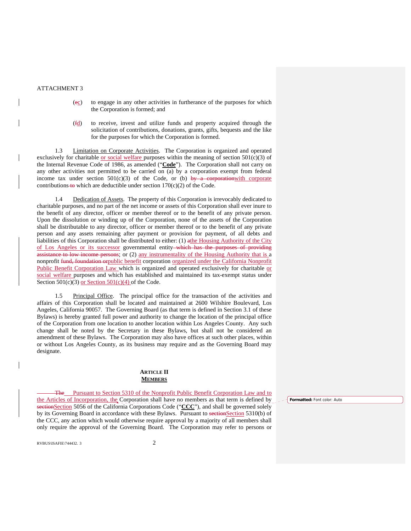- (ec) to engage in any other activities in furtherance of the purposes for which the Corporation is formed; and
- (fd) to receive, invest and utilize funds and property acquired through the solicitation of contributions, donations, grants, gifts, bequests and the like for the purposes for which the Corporation is formed.

 1.3 Limitation on Corporate Activities. The Corporation is organized and operated exclusively for charitable <u>or social welfare p</u>urposes within the meaning of section  $501(c)(3)$  of the Internal Revenue Code of 1986, as amended ("**Code**"). The Corporation shall not carry on any other activities not permitted to be carried on (a) by a corporation exempt from federal income tax under section  $501(c)(3)$  of the Code, or (b) by a corporation with corporate contributions to which are deductible under section  $170(c)(2)$  of the Code.

 1.4 Dedication of Assets. The property of this Corporation is irrevocably dedicated to charitable purposes, and no part of the net income or assets of this Corporation shall ever inure to the benefit of any director, officer or member thereof or to the benefit of any private person. Upon the dissolution or winding up of the Corporation, none of the assets of the Corporation shall be distributable to any director, officer or member thereof or to the benefit of any private person and any assets remaining after payment or provision for payment, of all debts and liabilities of this Corporation shall be distributed to either: (1) athe Housing Authority of the City of Los Angeles or its successor governmental entity which has the purposes of providing assistance to low income persons; or (2) any instrumentality of the Housing Authority that is a nonprofit fund, foundation or public benefit corporation organized under the California Nonprofit Public Benefit Corporation Law which is organized and operated exclusively for charitable or social welfare purposes and which has established and maintained its tax-exempt status under Section  $501(c)(3)$  or Section  $501(c)(4)$  of the Code.

 1.5 Principal Office. The principal office for the transaction of the activities and affairs of this Corporation shall be located and maintained at 2600 Wilshire Boulevard, Los Angeles, California 90057. The Governing Board (as that term is defined in Section 3.1 of these Bylaws) is hereby granted full power and authority to change the location of the principal office of the Corporation from one location to another location within Los Angeles County. Any such change shall be noted by the Secretary in these Bylaws, but shall not be considered an amendment of these Bylaws. The Corporation may also have offices at such other places, within or without Los Angeles County, as its business may require and as the Governing Board may designate.

#### **ARTICLE II MEMBERS**

**Formatted:** Font color: Auto

 The Pursuant to Section 5310 of the Nonprofit Public Benefit Corporation Law and to the Articles of Incorporation, the Corporation shall have no members as that term is defined by sectionSection 5056 of the California Corporations Code ("CCC"), and shall be governed solely by its Governing Board in accordance with these Bylaws. Pursuant to sectionSection 5310(b) of the CCC, any action which would otherwise require approval by a majority of all members shall only require the approval of the Governing Board. The Corporation may refer to persons or

 $RVBUS\IS$ AFIE $\{744432.$  3 2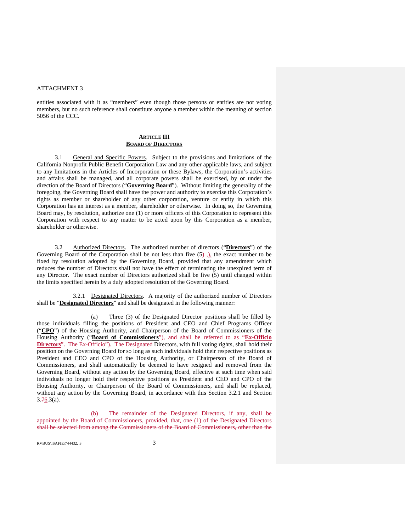$\overline{\phantom{a}}$ 

entities associated with it as "members" even though those persons or entities are not voting members, but no such reference shall constitute anyone a member within the meaning of section 5056 of the CCC.

#### **ARTICLE III BOARD OF DIRECTORS**

 3.1 General and Specific Powers. Subject to the provisions and limitations of the California Nonprofit Public Benefit Corporation Law and any other applicable laws, and subject to any limitations in the Articles of Incorporation or these Bylaws, the Corporation's activities and affairs shall be managed, and all corporate powers shall be exercised, by or under the direction of the Board of Directors ("**Governing Board**"). Without limiting the generality of the foregoing, the Governing Board shall have the power and authority to exercise this Corporation's rights as member or shareholder of any other corporation, venture or entity in which this Corporation has an interest as a member, shareholder or otherwise. In doing so, the Governing Board may, by resolution, authorize one (1) or more officers of this Corporation to represent this Corporation with respect to any matter to be acted upon by this Corporation as a member, shareholder or otherwise.

 3.2 Authorized Directors. The authorized number of directors ("**Directors**") of the Governing Board of the Corporation shall be not less than five  $(5)$ , the exact number to be fixed by resolution adopted by the Governing Board, provided that any amendment which reduces the number of Directors shall not have the effect of terminating the unexpired term of any Director. The exact number of Directors authorized shall be five (5) until changed within the limits specified herein by a duly adopted resolution of the Governing Board.

 3.2.1 Designated Directors. A majority of the authorized number of Directors shall be "**Designated Directors**" and shall be designated in the following manner:

 (a) Three (3) of the Designated Director positions shall be filled by those individuals filling the positions of President and CEO and Chief Programs Officer ("**CPO**") of the Housing Authority, and Chairperson of the Board of Commissioners of the Housing Authority ("**Board of Commissioners**"), and shall be referred to as "**Ex-Officio Directors**". The Ex-Officio"). The Designated Directors, with full voting rights, shall hold their position on the Governing Board for so long as such individuals hold their respective positions as President and CEO and CPO of the Housing Authority, or Chairperson of the Board of Commissioners, and shall automatically be deemed to have resigned and removed from the Governing Board, without any action by the Governing Board, effective at such time when said individuals no longer hold their respective positions as President and CEO and CPO of the Housing Authority, or Chairperson of the Board of Commissioners, and shall be replaced, without any action by the Governing Board, in accordance with this Section 3.2.1 and Section  $3.76.3(a)$ .

The remainder of the Designated Directors, if any, shall be appointed by the Board of Commissioners, provided, that, one (1) of the Designated Directors shall be selected from among the Commissioners of the Board of Commissioners, other than the

RVBUS\ISAFIE\744432. 3 3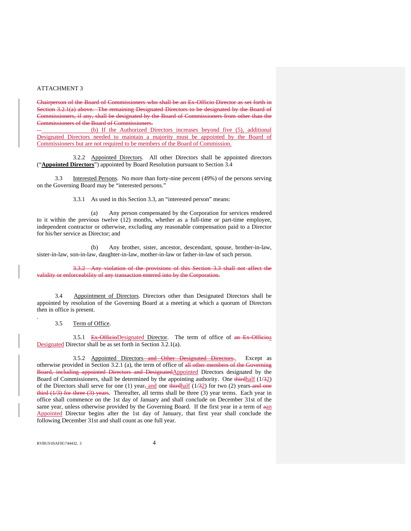Chairperson of the Board of Commissioners who shall be an Ex-Officio Director as set forth in Section 3.2.1(a) above. The remaining Designated Directors to be designated by the Board of Commissioners, if any, shall be designated by the Board of Commissioners from other than the Commissioners of the Board of Commissioners.

 (b) If the Authorized Directors increases beyond five (5), additional Designated Directors needed to maintain a majority must be appointed by the Board of Commissioners but are not required to be members of the Board of Commission.

 3.2.2 Appointed Directors. All other Directors shall be appointed directors ("**Appointed Directors**") appointed by Board Resolution pursuant to Section 3.4

 3.3 Interested Persons. No more than forty-nine percent (49%) of the persons serving on the Governing Board may be "interested persons."

3.3.1 As used in this Section 3.3, an "interested person" means:

(a) Any person compensated by the Corporation for services rendered to it within the previous twelve (12) months, whether as a full-time or part-time employee, independent contractor or otherwise, excluding any reasonable compensation paid to a Director for his/her service as Director; and

(b) Any brother, sister, ancestor, descendant, spouse, brother-in-law, sister-in-law, son-in-law, daughter-in-law, mother-in-law or father-in-law of such person.

3.3.2 Any violation of the provisions of this Section 3.3 shall not affect the validity or enforceability of any transaction entered into by the Corporation.

 3.4 Appointment of Directors. Directors other than Designated Directors shall be appointed by resolution of the Governing Board at a meeting at which a quorum of Directors then in office is present.

#### 3.5 Term of Office.

.

3.5.1 Ex-OfficioDesignated Director. The term of office of an Ex-Officion Designated Director shall be as set forth in Section 3.2.1(a).

 3.5.2 Appointed Directors and Other Designated Directors.. Except as otherwise provided in Section 3.2.1 (a), the term of office of all other members of the Governing Board, including appointed Directors and DesignatedAppointed Directors designated by the Board of Commissioners, shall be determined by the appointing authority. One thirdhalf (1/32) of the Directors shall serve for one (1) year, and one thirdhalf  $(1/32)$  for two (2) years and one third  $(1/3)$  for three  $(3)$  years. Thereafter, all terms shall be three  $(3)$  year terms. Each year in office shall commence on the 1st day of January and shall conclude on December 31st of the same year, unless otherwise provided by the Governing Board. If the first year in a term of  $\frac{1}{2}$ Appointed Director begins after the 1st day of January, that first year shall conclude the following December 31st and shall count as one full year.

RVBUS\ISAFIE\744432. 3 4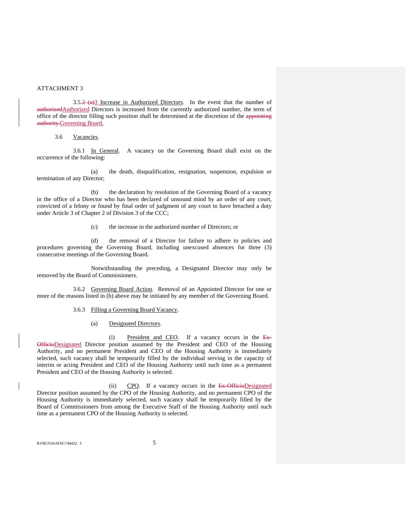$3.5.2 \text{ (a)}$  Increase in Authorized Directors. In the event that the number of authorizedAuthorized Directors is increased from the currently authorized number, the term of office of the director filling such position shall be determined at the discretion of the appointing authority.Governing Board.

#### 3.6 Vacancies.

 3.6.1 In General. A vacancy on the Governing Board shall exist on the occurrence of the following:

(a) the death, disqualification, resignation, suspension, expulsion or termination of any Director;

(b) the declaration by resolution of the Governing Board of a vacancy in the office of a Director who has been declared of unsound mind by an order of any court, convicted of a felony or found by final order of judgment of any court to have breached a duty under Article 3 of Chapter 2 of Division 3 of the CCC;

(c) the increase in the authorized number of Directors; or

(d) the removal of a Director for failure to adhere to policies and procedures governing the Governing Board, including unexcused absences for three (3) consecutive meetings of the Governing Board.

Notwithstanding the preceding, a Designated Director may only be removed by the Board of Commissioners.

3.6.2 Governing Board Action. Removal of an Appointed Director for one or more of the reasons listed in (b) above may be initiated by any member of the Governing Board.

#### 3.6.3 Filling a Governing Board Vacancy.

#### (a) Designated Directors.

(i) President and CEO. If a vacancy occurs in the  $Ex-$ OfficioDesignated Director position assumed by the President and CEO of the Housing Authority, and no permanent President and CEO of the Housing Authority is immediately selected, such vacancy shall be temporarily filled by the individual serving in the capacity of interim or acting President and CEO of the Housing Authority until such time as a permanent President and CEO of the Housing Authority is selected.

(ii) CPO. If a vacancy occurs in the Ex-OfficioDesignated Director position assumed by the CPO of the Housing Authority, and no permanent CPO of the Housing Authority is immediately selected, such vacancy shall be temporarily filled by the Board of Commissioners from among the Executive Staff of the Housing Authority until such time as a permanent CPO of the Housing Authority is selected.

RVBUS\ISAFIE\744432. 3  $\overline{5}$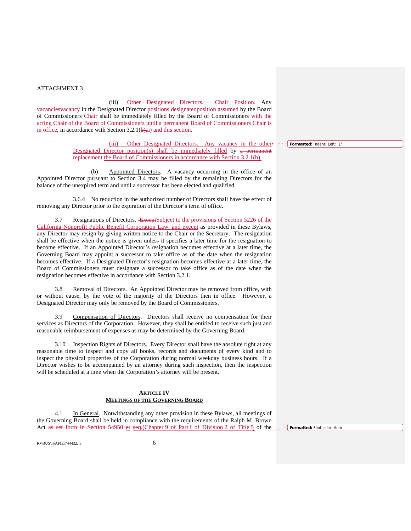(iii) Other Designated Directors. Chair Position. Any vacanciesvacancy in the Designated Director positions designatedposition assumed by the Board of Commissioners Chair shall be immediately filled by the Board of Commissioners with the acting Chair of the Board of Commissioners until a permanent Board of Commissioners Chair is in office, in accordance with Section  $3.2.1(\theta)$ , a) and this section.

> (iii) Other Designated Directors. Any vacancy in the other Designated Director position(s) shall be immediately filled by a permanent replacement.the Board of Commissioners in accordance with Section 3.2.1(b).

 (b) Appointed Directors. A vacancy occurring in the office of an Appointed Director pursuant to Section 3.4 may be filled by the remaining Directors for the balance of the unexpired term and until a successor has been elected and qualified.

3.6.4 No reduction in the authorized number of Directors shall have the effect of removing any Director prior to the expiration of the Director's term of office.

3.7 Resignations of Directors. ExceptSubject to the provisions of Section 5226 of the California Nonprofit Public Benefit Corporation Law, and except as provided in these Bylaws, any Director may resign by giving written notice to the Chair or the Secretary. The resignation shall be effective when the notice is given unless it specifies a later time for the resignation to become effective. If an Appointed Director's resignation becomes effective at a later time, the Governing Board may appoint a successor to take office as of the date when the resignation becomes effective. If a Designated Director's resignation becomes effective at a later time, the Board of Commissioners must designate a successor to take office as of the date when the resignation becomes effective in accordance with Section 3.2.1.

3.8 Removal of Directors. An Appointed Director may be removed from office, with or without cause, by the vote of the majority of the Directors then in office. However, a Designated Director may only be removed by the Board of Commissioners.

3.9 Compensation of Directors. Directors shall receive no compensation for their services as Directors of the Corporation. However, they shall be entitled to receive such just and reasonable reimbursement of expenses as may be determined by the Governing Board.

3.10 Inspection Rights of Directors. Every Director shall have the absolute right at any reasonable time to inspect and copy all books, records and documents of every kind and to inspect the physical properties of the Corporation during normal weekday business hours. If a Director wishes to be accompanied by an attorney during such inspection, then the inspection will be scheduled at a time when the Corporation's attorney will be present.

#### **ARTICLE IV MEETINGS OF THE GOVERNING BOARD**

4.1 In General. Notwithstanding any other provision in these Bylaws, all meetings of the Governing Board shall be held in compliance with the requirements of the Ralph M. Brown Act as set forth in Section 54950 et seq.(Chapter 9 of Part I of Division 2 of Title 5 of the

**Formatted:** Font color: Auto

RVBUS\ISAFIE\744432. 3 6

**Formatted:** Indent: Left: 1"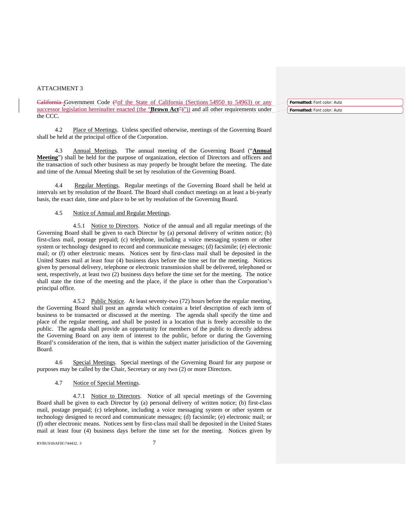California Government Code ("of the State of California (Sections 54950 to 54963) or any successor legislation hereinafter enacted (the "**Brown Act**")")) and all other requirements under the CCC.

4.2 Place of Meetings. Unless specified otherwise, meetings of the Governing Board shall be held at the principal office of the Corporation.

4.3 Annual Meetings. The annual meeting of the Governing Board ("**Annual Meeting**") shall be held for the purpose of organization, election of Directors and officers and the transaction of such other business as may properly be brought before the meeting. The date and time of the Annual Meeting shall be set by resolution of the Governing Board.

4.4 Regular Meetings. Regular meetings of the Governing Board shall be held at intervals set by resolution of the Board. The Board shall conduct meetings on at least a bi-yearly basis, the exact date, time and place to be set by resolution of the Governing Board.

#### 4.5 Notice of Annual and Regular Meetings.

 4.5.1 Notice to Directors. Notice of the annual and all regular meetings of the Governing Board shall be given to each Director by (a) personal delivery of written notice; (b) first-class mail, postage prepaid; (c) telephone, including a voice messaging system or other system or technology designed to record and communicate messages; (d) facsimile; (e) electronic mail; or (f) other electronic means. Notices sent by first-class mail shall be deposited in the United States mail at least four (4) business days before the time set for the meeting. Notices given by personal delivery, telephone or electronic transmission shall be delivered, telephoned or sent, respectively, at least two (2) business days before the time set for the meeting. The notice shall state the time of the meeting and the place, if the place is other than the Corporation's principal office.

 4.5.2 Public Notice. At least seventy-two (72) hours before the regular meeting, the Governing Board shall post an agenda which contains a brief description of each item of business to be transacted or discussed at the meeting. The agenda shall specify the time and place of the regular meeting, and shall be posted in a location that is freely accessible to the public. The agenda shall provide an opportunity for members of the public to directly address the Governing Board on any item of interest to the public, before or during the Governing Board's consideration of the item, that is within the subject matter jurisdiction of the Governing Board.

4.6 Special Meetings. Special meetings of the Governing Board for any purpose or purposes may be called by the Chair, Secretary or any two (2) or more Directors.

#### 4.7 Notice of Special Meetings.

 4.7.1 Notice to Directors. Notice of all special meetings of the Governing Board shall be given to each Director by (a) personal delivery of written notice; (b) first-class mail, postage prepaid; (c) telephone, including a voice messaging system or other system or technology designed to record and communicate messages; (d) facsimile; (e) electronic mail; or (f) other electronic means. Notices sent by first-class mail shall be deposited in the United States mail at least four (4) business days before the time set for the meeting. Notices given by

RVBUS\ISAFIE\744432. 3 7

**Formatted:** Font color: Auto **Formatted:** Font color: Auto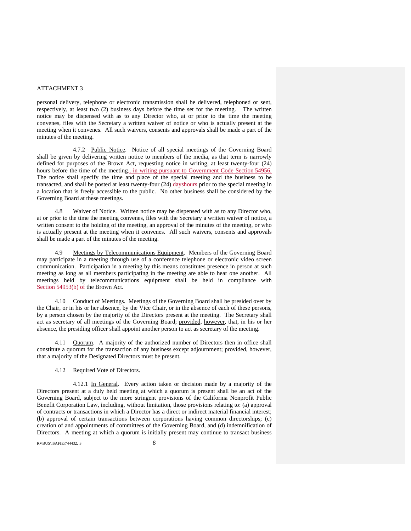personal delivery, telephone or electronic transmission shall be delivered, telephoned or sent, respectively, at least two (2) business days before the time set for the meeting. The written notice may be dispensed with as to any Director who, at or prior to the time the meeting convenes, files with the Secretary a written waiver of notice or who is actually present at the meeting when it convenes. All such waivers, consents and approvals shall be made a part of the minutes of the meeting.

 4.7.2 Public Notice. Notice of all special meetings of the Governing Board shall be given by delivering written notice to members of the media, as that term is narrowly defined for purposes of the Brown Act, requesting notice in writing, at least twenty-four (24) hours before the time of the meeting<sub>7</sub>, in writing pursuant to Government Code Section 54956. The notice shall specify the time and place of the special meeting and the business to be transacted, and shall be posted at least twenty-four (24) dayshours prior to the special meeting in a location that is freely accessible to the public. No other business shall be considered by the Governing Board at these meetings.

4.8 Waiver of Notice. Written notice may be dispensed with as to any Director who, at or prior to the time the meeting convenes, files with the Secretary a written waiver of notice, a written consent to the holding of the meeting, an approval of the minutes of the meeting, or who is actually present at the meeting when it convenes. All such waivers, consents and approvals shall be made a part of the minutes of the meeting.

4.9 Meetings by Telecommunications Equipment. Members of the Governing Board may participate in a meeting through use of a conference telephone or electronic video screen communication. Participation in a meeting by this means constitutes presence in person at such meeting as long as all members participating in the meeting are able to hear one another. All meetings held by telecommunications equipment shall be held in compliance with Section 54953(b) of the Brown Act.

4.10 Conduct of Meetings. Meetings of the Governing Board shall be presided over by the Chair, or in his or her absence, by the Vice Chair, or in the absence of each of these persons, by a person chosen by the majority of the Directors present at the meeting. The Secretary shall act as secretary of all meetings of the Governing Board; provided, however, that, in his or her absence, the presiding officer shall appoint another person to act as secretary of the meeting.

4.11 Quorum. A majority of the authorized number of Directors then in office shall constitute a quorum for the transaction of any business except adjournment; provided, however, that a majority of the Designated Directors must be present.

#### 4.12 Required Vote of Directors.

 4.12.1 In General. Every action taken or decision made by a majority of the Directors present at a duly held meeting at which a quorum is present shall be an act of the Governing Board, subject to the more stringent provisions of the California Nonprofit Public Benefit Corporation Law, including, without limitation, those provisions relating to: (a) approval of contracts or transactions in which a Director has a direct or indirect material financial interest; (b) approval of certain transactions between corporations having common directorships; (c) creation of and appointments of committees of the Governing Board, and (d) indemnification of Directors. A meeting at which a quorum is initially present may continue to transact business

RVBUS\ISAFIE\744432.3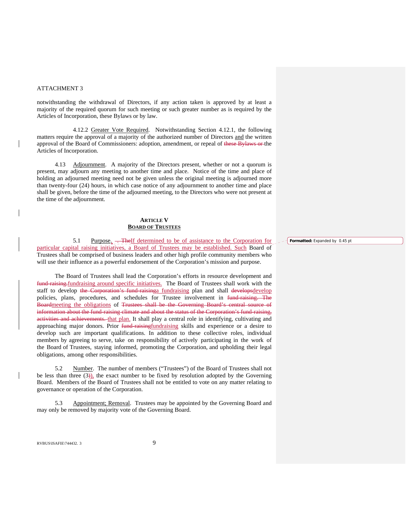notwithstanding the withdrawal of Directors, if any action taken is approved by at least a majority of the required quorum for such meeting or such greater number as is required by the Articles of Incorporation, these Bylaws or by law.

 4.12.2 Greater Vote Required. Notwithstanding Section 4.12.1, the following matters require the approval of a majority of the authorized number of Directors and the written approval of the Board of Commissioners: adoption, amendment, or repeal of these Bylaws or the Articles of Incorporation.

4.13 Adjournment. A majority of the Directors present, whether or not a quorum is present, may adjourn any meeting to another time and place. Notice of the time and place of holding an adjourned meeting need not be given unless the original meeting is adjourned more than twenty-four (24) hours, in which case notice of any adjournment to another time and place shall be given, before the time of the adjourned meeting, to the Directors who were not present at the time of the adjournment.

#### **ARTICLE V BOARD OF TRUSTEES**

5.1 Purpose<sub> $\lambda$ </sub> The If determined to be of assistance to the Corporation for particular capital raising initiatives, a Board of Trustees may be established. Such Board of Trustees shall be comprised of business leaders and other high profile community members who will use their influence as a powerful endorsement of the Corporation's mission and purpose.

The Board of Trustees shall lead the Corporation's efforts in resource development and fund-raising-fundraising around specific initiatives. The Board of Trustees shall work with the staff to develop the Corporation's fund-raisinga fundraising plan and shall developsdevelop policies, plans, procedures, and schedules for Trustee involvement in fund-raising. The Boardmeeting the obligations of Trustees shall be the Governing Board's central source of information about the fund-raising climate and about the status of the Corporation's fund-raising, activities and achievements. that plan. It shall play a central role in identifying, cultivating and approaching major donors. Prior fund-raisingfundraising skills and experience or a desire to develop such are important qualifications. In addition to these collective roles, individual members by agreeing to serve, take on responsibility of actively participating in the work of the Board of Trustees, staying informed, promoting the Corporation, and upholding their legal obligations, among other responsibilities.

5.2 Number. The number of members ("Trustees") of the Board of Trustees shall not be less than three  $(3)$ , the exact number to be fixed by resolution adopted by the Governing Board. Members of the Board of Trustees shall not be entitled to vote on any matter relating to governance or operation of the Corporation.

 5.3 Appointment; Removal. Trustees may be appointed by the Governing Board and may only be removed by majority vote of the Governing Board.

RVBUS\ISAFIE\744432. 3 9

 $\overline{\phantom{a}}$ 

**Formatted:** Expanded by 0.45 pt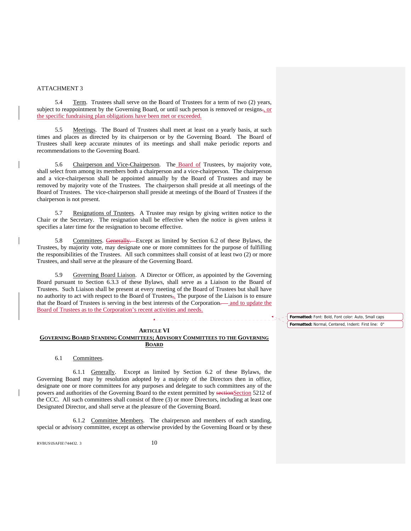5.4 Term. Trustees shall serve on the Board of Trustees for a term of two (2) years, subject to reappointment by the Governing Board, or until such person is removed or resigns-, or the specific fundraising plan obligations have been met or exceeded.

 5.5 Meetings. The Board of Trustees shall meet at least on a yearly basis, at such times and places as directed by its chairperson or by the Governing Board. The Board of Trustees shall keep accurate minutes of its meetings and shall make periodic reports and recommendations to the Governing Board.

 5.6 Chairperson and Vice-Chairperson. The Board of Trustees, by majority vote, shall select from among its members both a chairperson and a vice-chairperson. The chairperson and a vice-chairperson shall be appointed annually by the Board of Trustees and may be removed by majority vote of the Trustees. The chairperson shall preside at all meetings of the Board of Trustees. The vice-chairperson shall preside at meetings of the Board of Trustees if the chairperson is not present.

5.7 Resignations of Trustees. A Trustee may resign by giving written notice to the Chair or the Secretary. The resignation shall be effective when the notice is given unless it specifies a later time for the resignation to become effective.

Committees. Generally. Except as limited by Section 6.2 of these Bylaws, the Trustees, by majority vote, may designate one or more committees for the purpose of fulfilling the responsibilities of the Trustees. All such committees shall consist of at least two (2) or more Trustees, and shall serve at the pleasure of the Governing Board.

5.9 Governing Board Liaison. A Director or Officer, as appointed by the Governing Board pursuant to Section 6.3.3 of these Bylaws, shall serve as a Liaison to the Board of Trustees. Such Liaison shall be present at every meeting of the Board of Trustees but shall have no authority to act with respect to the Board of Trustees<sub>5</sub>. The purpose of the Liaison is to ensure that the Board of Trustees is serving in the best interests of the Corporation. and to update the Board of Trustees as to the Corporation's recent activities and needs.

#### **Formatted:** Font: Bold, Font color: Auto, Small caps **Formatted:** Normal, Centered, Indent: First line: 0"

### **ARTICLE VI**

**A** . . . . . . . . . . . . . . .

#### **GOVERNING BOARD STANDING COMMITTEES; ADVISORY COMMITTEES TO THE GOVERNING BOARD**

6.1 Committees.

6.1.1 Generally. Except as limited by Section 6.2 of these Bylaws, the Governing Board may by resolution adopted by a majority of the Directors then in office, designate one or more committees for any purposes and delegate to such committees any of the powers and authorities of the Governing Board to the extent permitted by sectionSection 5212 of the CCC. All such committees shall consist of three (3) or more Directors, including at least one Designated Director, and shall serve at the pleasure of the Governing Board.

6.1.2 Committee Members. The chairperson and members of each standing, special or advisory committee, except as otherwise provided by the Governing Board or by these

 $RVBUS\$ ISAFIE $\$ 744432. 3 10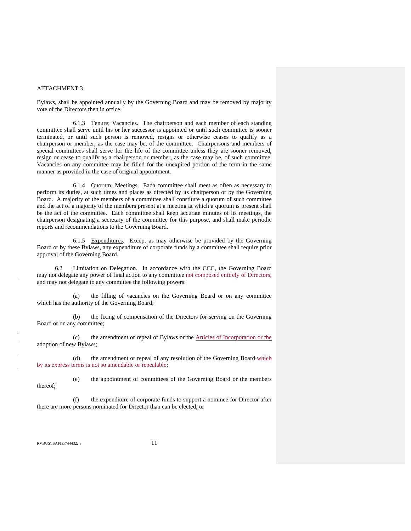Bylaws, shall be appointed annually by the Governing Board and may be removed by majority vote of the Directors then in office.

6.1.3 Tenure; Vacancies. The chairperson and each member of each standing committee shall serve until his or her successor is appointed or until such committee is sooner terminated, or until such person is removed, resigns or otherwise ceases to qualify as a chairperson or member, as the case may be, of the committee. Chairpersons and members of special committees shall serve for the life of the committee unless they are sooner removed, resign or cease to qualify as a chairperson or member, as the case may be, of such committee. Vacancies on any committee may be filled for the unexpired portion of the term in the same manner as provided in the case of original appointment.

6.1.4 Quorum; Meetings. Each committee shall meet as often as necessary to perform its duties, at such times and places as directed by its chairperson or by the Governing Board. A majority of the members of a committee shall constitute a quorum of such committee and the act of a majority of the members present at a meeting at which a quorum is present shall be the act of the committee. Each committee shall keep accurate minutes of its meetings, the chairperson designating a secretary of the committee for this purpose, and shall make periodic reports and recommendations to the Governing Board.

6.1.5 Expenditures. Except as may otherwise be provided by the Governing Board or by these Bylaws, any expenditure of corporate funds by a committee shall require prior approval of the Governing Board.

 6.2 Limitation on Delegation. In accordance with the CCC, the Governing Board may not delegate any power of final action to any committee not composed entirely of Directors, and may not delegate to any committee the following powers:

(a) the filling of vacancies on the Governing Board or on any committee which has the authority of the Governing Board;

(b) the fixing of compensation of the Directors for serving on the Governing Board or on any committee;

(c) the amendment or repeal of Bylaws or the Articles of Incorporation or the adoption of new Bylaws;

(d) the amendment or repeal of any resolution of the Governing Board which not so amendable or repealable;

(e) the appointment of committees of the Governing Board or the members thereof;

(f) the expenditure of corporate funds to support a nominee for Director after there are more persons nominated for Director than can be elected; or

RVBUS\ISAFIE\744432. 3 11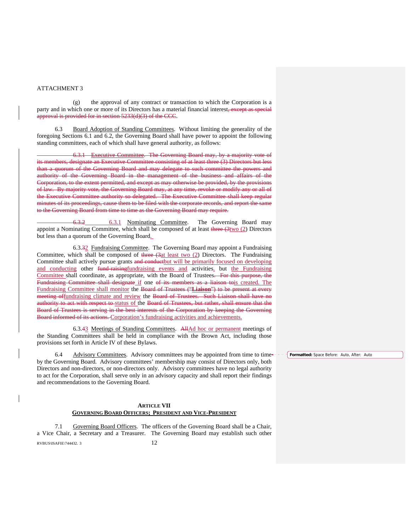(g) the approval of any contract or transaction to which the Corporation is a party and in which one or more of its Directors has a material financial interest, except as special approval is provided for in section 5233(d)(3) of the CCC.

6.3 Board Adoption of Standing Committees. Without limiting the generality of the foregoing Sections 6.1 and 6.2, the Governing Board shall have power to appoint the following standing committees, each of which shall have general authority, as follows:

 6.3.1 Executive Committee. The Governing Board may, by a majority vote of its members, designate an Executive Committee consisting of at least three (3) Directors but less than a quorum of the Governing Board and may delegate to such committee the powers and authority of the Governing Board in the management of the business and affairs of the Corporation, to the extent permitted, and except as may otherwise be provided, by the provisions of law. By majority vote, the Governing Board may, at any time, revoke or modify any or all of the Executive Committee authority so delegated. The Executive Committee shall keep regular minutes of its proceedings, cause them to be filed with the corporate records, and report the same to the Governing Board from time to time as the Governing Board may require.

 6.3.2 6.3.1 Nominating Committee. The Governing Board may appoint a Nominating Committee, which shall be composed of at least three  $(3\text{two } (2)$  Directors but less than a quorum of the Governing Board.

 6.3.32 Fundraising Committee. The Governing Board may appoint a Fundraising Committee, which shall be composed of three  $(3at \text{ least two} (2)$  Directors. The Fundraising Committee shall actively pursue grants and conductbut will be primarily focused on developing and conducting other fund-raisingfundraising events and activities. but the Fundraising Committee shall coordinate, as appropriate, with the Board of Trustees. For this purpose, the Fundraising Committee shall designate if one of its members as a liaison tois created. The Fundraising Committee shall monitor the Board of Trustees ("**Liaison**") to be present at every meeting offundraising climate and review the Board of Trustees. Such Liaison shall have no authority to act with respect to status of the Board of Trustees, but rather, shall ensure that the Board of Trustees is serving in the best interests of the Corporation by keeping the Governing Board informed of its actions. Corporation's fundraising activities and achievements.

 6.3.43 Meetings of Standing Committees. AllAd hoc or permanent meetings of the Standing Committees shall be held in compliance with the Brown Act, including those provisions set forth in Article IV of these Bylaws.

6.4 Advisory Committees. Advisory committees may be appointed from time to time by the Governing Board. Advisory committees' membership may consist of Directors only, both Directors and non-directors, or non-directors only. Advisory committees have no legal authority to act for the Corporation, shall serve only in an advisory capacity and shall report their findings and recommendations to the Governing Board.

#### **ARTICLE VII GOVERNING BOARD OFFICERS; PRESIDENT AND VICE-PRESIDENT**

RVBUS\ISAFIE\744432. 3 12 7.1 Governing Board Officers. The officers of the Governing Board shall be a Chair, a Vice Chair, a Secretary and a Treasurer. The Governing Board may establish such other **Formatted:** Space Before: Auto, After: Auto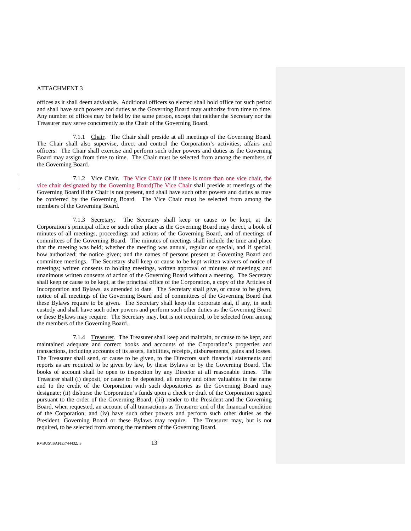offices as it shall deem advisable. Additional officers so elected shall hold office for such period and shall have such powers and duties as the Governing Board may authorize from time to time. Any number of offices may be held by the same person, except that neither the Secretary nor the Treasurer may serve concurrently as the Chair of the Governing Board.

 7.1.1 Chair. The Chair shall preside at all meetings of the Governing Board. The Chair shall also supervise, direct and control the Corporation's activities, affairs and officers. The Chair shall exercise and perform such other powers and duties as the Governing Board may assign from time to time. The Chair must be selected from among the members of the Governing Board.

 7.1.2 Vice Chair. The Vice Chair (or if there is more than one vice chair, the vice chair designated by the Governing Board)The Vice Chair shall preside at meetings of the Governing Board if the Chair is not present, and shall have such other powers and duties as may be conferred by the Governing Board. The Vice Chair must be selected from among the members of the Governing Board.

 7.1.3 Secretary. The Secretary shall keep or cause to be kept, at the Corporation's principal office or such other place as the Governing Board may direct, a book of minutes of all meetings, proceedings and actions of the Governing Board, and of meetings of committees of the Governing Board. The minutes of meetings shall include the time and place that the meeting was held; whether the meeting was annual, regular or special, and if special, how authorized; the notice given; and the names of persons present at Governing Board and committee meetings. The Secretary shall keep or cause to be kept written waivers of notice of meetings; written consents to holding meetings, written approval of minutes of meetings; and unanimous written consents of action of the Governing Board without a meeting. The Secretary shall keep or cause to be kept, at the principal office of the Corporation, a copy of the Articles of Incorporation and Bylaws, as amended to date. The Secretary shall give, or cause to be given, notice of all meetings of the Governing Board and of committees of the Governing Board that these Bylaws require to be given. The Secretary shall keep the corporate seal, if any, in such custody and shall have such other powers and perform such other duties as the Governing Board or these Bylaws may require. The Secretary may, but is not required, to be selected from among the members of the Governing Board.

 7.1.4 Treasurer. The Treasurer shall keep and maintain, or cause to be kept, and maintained adequate and correct books and accounts of the Corporation's properties and transactions, including accounts of its assets, liabilities, receipts, disbursements, gains and losses. The Treasurer shall send, or cause to be given, to the Directors such financial statements and reports as are required to be given by law, by these Bylaws or by the Governing Board. The books of account shall be open to inspection by any Director at all reasonable times. The Treasurer shall (i) deposit, or cause to be deposited, all money and other valuables in the name and to the credit of the Corporation with such depositories as the Governing Board may designate; (ii) disburse the Corporation's funds upon a check or draft of the Corporation signed pursuant to the order of the Governing Board; (iii) render to the President and the Governing Board, when requested, an account of all transactions as Treasurer and of the financial condition of the Corporation; and (iv) have such other powers and perform such other duties as the President, Governing Board or these Bylaws may require. The Treasurer may, but is not required, to be selected from among the members of the Governing Board.

RVBUS\ISAFIE\744432. 3 13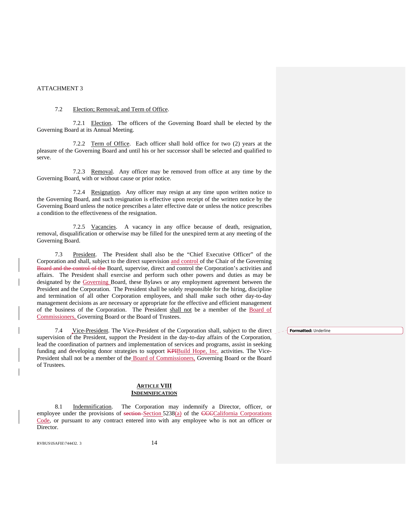#### 7.2 Election; Removal; and Term of Office.

7.2.1 Election. The officers of the Governing Board shall be elected by the Governing Board at its Annual Meeting.

7.2.2 Term of Office. Each officer shall hold office for two (2) years at the pleasure of the Governing Board and until his or her successor shall be selected and qualified to serve.

7.2.3 Removal. Any officer may be removed from office at any time by the Governing Board, with or without cause or prior notice.

7.2.4 Resignation. Any officer may resign at any time upon written notice to the Governing Board, and such resignation is effective upon receipt of the written notice by the Governing Board unless the notice prescribes a later effective date or unless the notice prescribes a condition to the effectiveness of the resignation.

7.2.5 Vacancies. A vacancy in any office because of death, resignation, removal, disqualification or otherwise may be filled for the unexpired term at any meeting of the Governing Board.

7.3 President. The President shall also be the "Chief Executive Officer" of the Corporation and shall, subject to the direct supervision and control of the Chair of the Governing Board and the control of the Board, supervise, direct and control the Corporation's activities and affairs. The President shall exercise and perform such other powers and duties as may be designated by the Governing Board, these Bylaws or any employment agreement between the President and the Corporation. The President shall be solely responsible for the hiring, discipline and termination of all other Corporation employees, and shall make such other day-to-day management decisions as are necessary or appropriate for the effective and efficient management of the business of the Corporation. The President shall not be a member of the Board of Commissioners, Governing Board or the Board of Trustees.

7.4 Vice-President. The Vice-President of the Corporation shall, subject to the direct **Formatted:** Underlinesupervision of the President, support the President in the day-to-day affairs of the Corporation, lead the coordination of partners and implementation of services and programs, assist in seeking funding and developing donor strategies to support **KPIBuild Hope**, Inc. activities. The Vice-President shall not be a member of the Board of Commissioners, Governing Board or the Board of Trustees.

#### **ARTICLE VIII INDEMNIFICATION**

 8.1 Indemnification. The Corporation may indemnify a Director, officer, or employee under the provisions of section Section 5238(a) of the CCCCalifornia Corporations Code, or pursuant to any contract entered into with any employee who is not an officer or Director.

RVBUS\ISAFIE\744432. 3 14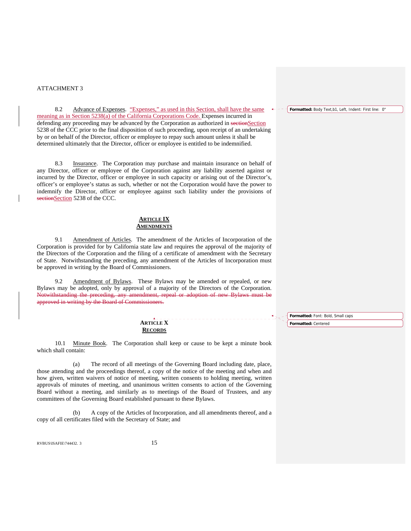8.2 Advance of Expenses. "Expenses," as used in this Section, shall have the same meaning as in Section 5238(a) of the California Corporations Code. Expenses incurred in defending any proceeding may be advanced by the Corporation as authorized in sectionSection 5238 of the CCC prior to the final disposition of such proceeding, upon receipt of an undertaking by or on behalf of the Director, officer or employee to repay such amount unless it shall be determined ultimately that the Director, officer or employee is entitled to be indemnified.

8.3 Insurance. The Corporation may purchase and maintain insurance on behalf of any Director, officer or employee of the Corporation against any liability asserted against or incurred by the Director, officer or employee in such capacity or arising out of the Director's, officer's or employee's status as such, whether or not the Corporation would have the power to indemnify the Director, officer or employee against such liability under the provisions of sectionSection 5238 of the CCC.

#### **ARTICLE IX AMENDMENTS**

9.1 Amendment of Articles. The amendment of the Articles of Incorporation of the Corporation is provided for by California state law and requires the approval of the majority of the Directors of the Corporation and the filing of a certificate of amendment with the Secretary of State. Notwithstanding the preceding, any amendment of the Articles of Incorporation must be approved in writing by the Board of Commissioners.

 9.2 Amendment of Bylaws. These Bylaws may be amended or repealed, or new Bylaws may be adopted, only by approval of a majority of the Directors of the Corporation. Notwithstanding the preceding, any amendment, repeal or adoption of new Bylaws must be approved in writing by the Board of Commissioners.

> **ARTICLE X RECORDS**

10.1 Minute Book. The Corporation shall keep or cause to be kept a minute book which shall contain:

(a) The record of all meetings of the Governing Board including date, place, those attending and the proceedings thereof, a copy of the notice of the meeting and when and how given, written waivers of notice of meeting, written consents to holding meeting, written approvals of minutes of meeting, and unanimous written consents to action of the Governing Board without a meeting, and similarly as to meetings of the Board of Trustees, and any committees of the Governing Board established pursuant to these Bylaws.

(b) A copy of the Articles of Incorporation, and all amendments thereof, and a copy of all certificates filed with the Secretary of State; and

RVBUS\ISAFIE\744432. 3 15

**Formatted:** Body Text,b1, Left, Indent: First line: 0"

**Formatted:** Font: Bold, Small caps **Formatted:** Centered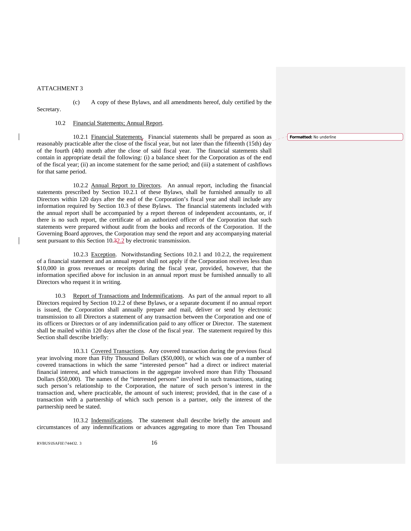$\overline{\phantom{a}}$ 

(c) A copy of these Bylaws, and all amendments hereof, duly certified by the

Secretary.

#### 10.2 Financial Statements; Annual Report.

10.2.1 Financial Statements. Financial statements shall be prepared as soon as reasonably practicable after the close of the fiscal year, but not later than the fifteenth (15th) day of the fourth (4th) month after the close of said fiscal year. The financial statements shall contain in appropriate detail the following: (i) a balance sheet for the Corporation as of the end of the fiscal year; (ii) an income statement for the same period; and (iii) a statement of cashflows for that same period.

 10.2.2 Annual Report to Directors. An annual report, including the financial statements prescribed by Section 10.2.1 of these Bylaws, shall be furnished annually to all Directors within 120 days after the end of the Corporation's fiscal year and shall include any information required by Section 10.3 of these Bylaws. The financial statements included with the annual report shall be accompanied by a report thereon of independent accountants, or, if there is no such report, the certificate of an authorized officer of the Corporation that such statements were prepared without audit from the books and records of the Corporation. If the Governing Board approves, the Corporation may send the report and any accompanying material sent pursuant to this Section 10.32.2 by electronic transmission.

 10.2.3 Exception. Notwithstanding Sections 10.2.1 and 10.2.2, the requirement of a financial statement and an annual report shall not apply if the Corporation receives less than \$10,000 in gross revenues or receipts during the fiscal year, provided, however, that the information specified above for inclusion in an annual report must be furnished annually to all Directors who request it in writing.

10.3 Report of Transactions and Indemnifications. As part of the annual report to all Directors required by Section 10.2.2 of these Bylaws, or a separate document if no annual report is issued, the Corporation shall annually prepare and mail, deliver or send by electronic transmission to all Directors a statement of any transaction between the Corporation and one of its officers or Directors or of any indemnification paid to any officer or Director. The statement shall be mailed within 120 days after the close of the fiscal year. The statement required by this Section shall describe briefly:

10.3.1 Covered Transactions. Any covered transaction during the previous fiscal year involving more than Fifty Thousand Dollars (\$50,000), or which was one of a number of covered transactions in which the same "interested person" had a direct or indirect material financial interest, and which transactions in the aggregate involved more than Fifty Thousand Dollars (\$50,000). The names of the "interested persons" involved in such transactions, stating such person's relationship to the Corporation, the nature of such person's interest in the transaction and, where practicable, the amount of such interest; provided, that in the case of a transaction with a partnership of which such person is a partner, only the interest of the partnership need be stated.

10.3.2 Indemnifications. The statement shall describe briefly the amount and circumstances of any indemnifications or advances aggregating to more than Ten Thousand

RVBUS\ISAFIE\744432. 3  $16$ 

**Formatted:** No underline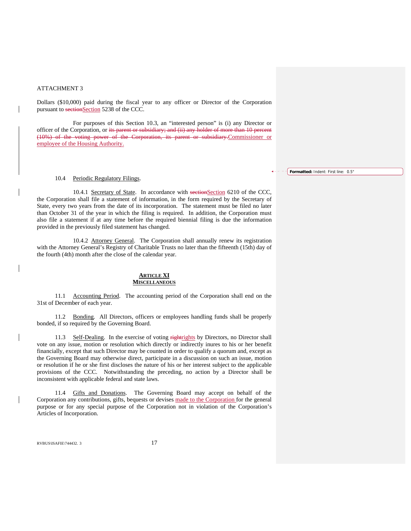Dollars (\$10,000) paid during the fiscal year to any officer or Director of the Corporation pursuant to sectionSection 5238 of the CCC.

For purposes of this Section 10.3, an "interested person" is (i) any Director or officer of the Corporation, or its parent or subsidiary; and (ii) any holder of more than 10 percent (10%) of the voting power of the Corporation, its parent or subsidiary.Commissioner or employee of the Housing Authority.

#### 10.4 Periodic Regulatory Filings.

10.4.1 Secretary of State. In accordance with sectionSection 6210 of the CCC, the Corporation shall file a statement of information, in the form required by the Secretary of State, every two years from the date of its incorporation. The statement must be filed no later than October 31 of the year in which the filing is required. In addition, the Corporation must also file a statement if at any time before the required biennial filing is due the information provided in the previously filed statement has changed.

 10.4.2 Attorney General. The Corporation shall annually renew its registration with the Attorney General's Registry of Charitable Trusts no later than the fifteenth (15th) day of the fourth (4th) month after the close of the calendar year.

#### **ARTICLE XI MISCELLANEOUS**

 11.1 Accounting Period. The accounting period of the Corporation shall end on the 31st of December of each year.

11.2 Bonding. All Directors, officers or employees handling funds shall be properly bonded, if so required by the Governing Board.

11.3 Self-Dealing. In the exercise of voting rightrights by Directors, no Director shall vote on any issue, motion or resolution which directly or indirectly inures to his or her benefit financially, except that such Director may be counted in order to qualify a quorum and, except as the Governing Board may otherwise direct, participate in a discussion on such an issue, motion or resolution if he or she first discloses the nature of his or her interest subject to the applicable provisions of the CCC. Notwithstanding the preceding, no action by a Director shall be inconsistent with applicable federal and state laws.

11.4 Gifts and Donations. The Governing Board may accept on behalf of the Corporation any contributions, gifts, bequests or devises made to the Corporation for the general purpose or for any special purpose of the Corporation not in violation of the Corporation's Articles of Incorporation.

RVBUS\ISAFIE\744432. 3 17

**Formatted:** Indent: First line: 0.5"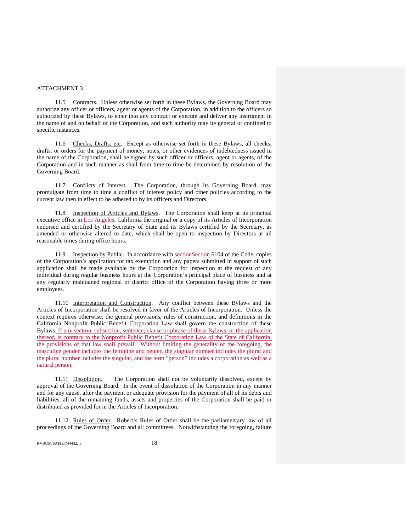$\overline{\phantom{a}}$ 

 $\mathsf{l}$ 

11.5 Contracts. Unless otherwise set forth in these Bylaws, the Governing Board may authorize any officer or officers, agent or agents of the Corporation, in addition to the officers so authorized by these Bylaws, to enter into any contract or execute and deliver any instrument in the name of and on behalf of the Corporation, and such authority may be general or confined to specific instances.

11.6 Checks; Drafts; etc. Except as otherwise set forth in these Bylaws, all checks, drafts, or orders for the payment of money, notes, or other evidences of indebtedness issued in the name of the Corporation, shall be signed by such officer or officers, agent or agents, of the Corporation and in such manner as shall from time to time be determined by resolution of the Governing Board.

11.7 Conflicts of Interest. The Corporation, through its Governing Board, may promulgate from time to time a conflict of interest policy and other policies according to the current law then in effect to be adhered to by its officers and Directors.

11.8 Inspection of Articles and Bylaws. The Corporation shall keep at its principal executive office in Los Angeles, California the original or a copy of its Articles of Incorporation endorsed and certified by the Secretary of State and its Bylaws certified by the Secretary, as amended or otherwise altered to date, which shall be open to inspection by Directors at all reasonable times during office hours.

11.9 Inspection by Public. In accordance with sectionSection 6104 of the Code, copies of the Corporation's application for tax exemption and any papers submitted in support of such application shall be made available by the Corporation for inspection at the request of any individual during regular business hours at the Corporation's principal place of business and at any regularly maintained regional or district office of the Corporation having three or more employees.

11.10 Interpretation and Construction. Any conflict between these Bylaws and the Articles of Incorporation shall be resolved in favor of the Articles of Incorporation. Unless the context requires otherwise, the general provisions, rules of construction, and definitions in the California Nonprofit Public Benefit Corporation Law shall govern the construction of these Bylaws. If any section, subsection, sentence, clause or phrase of these Bylaws, or the application thereof, is contrary to the Nonprofit Public Benefit Corporation Law of the State of California, the provisions of that law shall prevail. Without limiting the generality of the foregoing, the masculine gender includes the feminine and neuter, the singular number includes the plural and the plural number includes the singular, and the term "person" includes a corporation as well as a natural person.

11.11 Dissolution. The Corporation shall not be voluntarily dissolved, except by approval of the Governing Board. In the event of dissolution of the Corporation in any manner and for any cause, after the payment or adequate provision for the payment of all of its debts and liabilities, all of the remaining funds, assets and properties of the Corporation shall be paid or distributed as provided for in the Articles of Incorporation.

11.12 Rules of Order. Robert's Rules of Order shall be the parliamentary law of all proceedings of the Governing Board and all committees. Notwithstanding the foregoing, failure

RVBUS\ISAFIE\744432. 3 18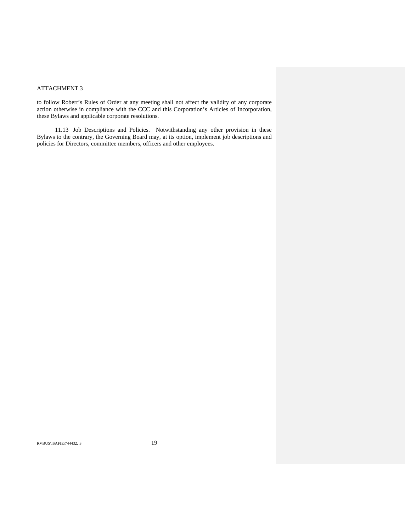to follow Robert's Rules of Order at any meeting shall not affect the validity of any corporate action otherwise in compliance with the CCC and this Corporation's Articles of Incorporation, these Bylaws and applicable corporate resolutions.

 11.13 Job Descriptions and Policies. Notwithstanding any other provision in these Bylaws to the contrary, the Governing Board may, at its option, implement job descriptions and policies for Directors, committee members, officers and other employees.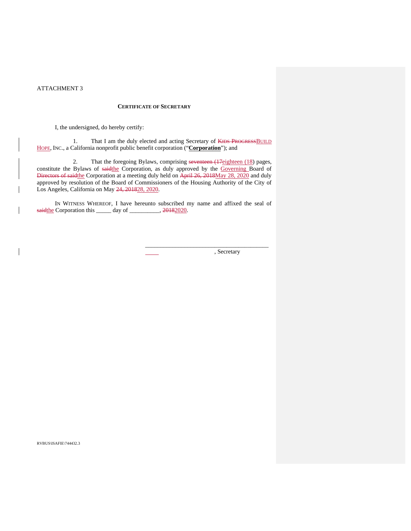$\mathsf{l}$ 

#### **CERTIFICATE OF SECRETARY**

I, the undersigned, do hereby certify:

1. That I am the duly elected and acting Secretary of KIDS PROGRESS BUILD HOPE, INC., a California nonprofit public benefit corporation ("**Corporation**"); and

2. That the foregoing Bylaws, comprising seventeen (17eighteen (18) pages, constitute the Bylaws of saidthe Corporation, as duly approved by the Governing Board of Directors of saidthe Corporation at a meeting duly held on April 26, 2018May 28, 2020 and duly approved by resolution of the Board of Commissioners of the Housing Authority of the City of Los Angeles, California on May 24, 201828, 2020.

IN WITNESS WHEREOF, I have hereunto subscribed my name and affixed the seal of saidthe Corporation this \_\_\_\_\_ day of \_\_\_\_\_\_\_\_, 20182020.

, Secretary

\_\_\_\_\_\_\_\_\_\_\_\_\_\_\_\_\_\_\_\_\_\_\_\_\_\_\_\_\_\_\_\_\_\_\_\_\_\_\_\_\_

RVBUS\ISAFIE\744432.3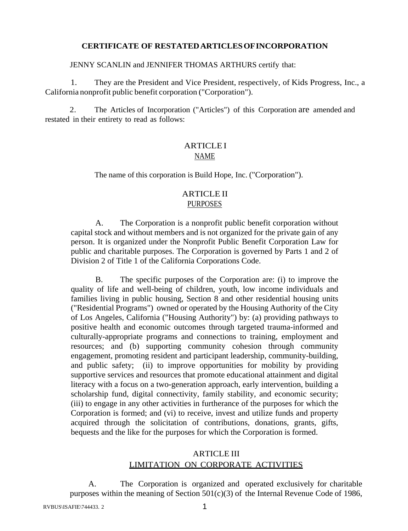### **CERTIFICATE OF RESTATED ARTICLES OF INCORPORATION**

JENNY SCANLIN and JENNIFER THOMAS ARTHURS certify that:

1. They are the President and Vice President, respectively, of Kids Progress, Inc., a California nonprofit public benefit corporation ("Corporation").

2. The Articles of Incorporation ("Articles") of this Corporation are amended and restated in their entirety to read as follows:

# **ARTICLEI** NAME

The name of this corporation is Build Hope, Inc. ("Corporation").

### ARTICLE II PURPOSES

A. The Corporation is a nonprofit public benefit corporation without capital stock and without members and is not organized for the private gain of any person. It is organized under the Nonprofit Public Benefit Corporation Law for public and charitable purposes. The Corporation is governed by Parts 1 and 2 of Division 2 of Title 1 of the California Corporations Code.

B. The specific purposes of the Corporation are: (i) to improve the quality of life and well-being of children, youth, low income individuals and families living in public housing, Section 8 and other residential housing units ("Residential Programs") owned or operated by the Housing Authority of the City of Los Angeles, California ("Housing Authority") by: (a) providing pathways to positive health and economic outcomes through targeted trauma-informed and culturally-appropriate programs and connections to training, employment and resources; and (b) supporting community cohesion through community engagement, promoting resident and participant leadership, community-building, and public safety; (ii) to improve opportunities for mobility by providing supportive services and resources that promote educational attainment and digital literacy with a focus on a two-generation approach, early intervention, building a scholarship fund, digital connectivity, family stability, and economic security; (iii) to engage in any other activities in furtherance of the purposes for which the Corporation is formed; and (vi) to receive, invest and utilize funds and property acquired through the solicitation of contributions, donations, grants, gifts, bequests and the like for the purposes for which the Corporation is formed.

# ARTICLE III LIMITATION ON CORPORATE ACTIVITIES

A. The Corporation is organized and operated exclusively for charitable purposes within the meaning of Section  $501(c)(3)$  of the Internal Revenue Code of 1986,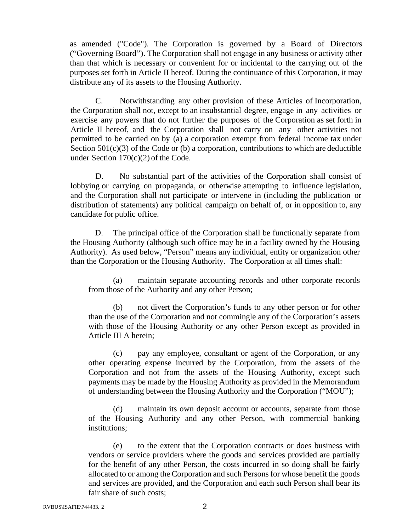as amended ("Code"). The Corporation is governed by a Board of Directors ("Governing Board"). The Corporation shall not engage in any business or activity other than that which is necessary or convenient for or incidental to the carrying out of the purposes set forth in Article II hereof. During the continuance of this Corporation, it may distribute any of its assets to the Housing Authority.

C. Notwithstanding any other provision of these Articles of Incorporation, the Corporation shall not, except to an insubstantial degree, engage in any activities or exercise any powers that do not further the purposes of the Corporation as set forth in Article II hereof, and the Corporation shall not carry on any other activities not permitted to be carried on by (a) a corporation exempt from federal income tax under Section  $501(c)(3)$  of the Code or (b) a corporation, contributions to which are deductible under Section 170(c)(2) of the Code.

D. No substantial part of the activities of the Corporation shall consist of lobbying or carrying on propaganda, or otherwise attempting to influence legislation, and the Corporation shall not participate or intervene in (including the publication or distribution of statements) any political campaign on behalf of, or in opposition to, any candidate for public office.

D. The principal office of the Corporation shall be functionally separate from the Housing Authority (although such office may be in a facility owned by the Housing Authority). As used below, "Person" means any individual, entity or organization other than the Corporation or the Housing Authority. The Corporation at all times shall:

(a) maintain separate accounting records and other corporate records from those of the Authority and any other Person;

(b) not divert the Corporation's funds to any other person or for other than the use of the Corporation and not commingle any of the Corporation's assets with those of the Housing Authority or any other Person except as provided in Article III A herein;

(c) pay any employee, consultant or agent of the Corporation, or any other operating expense incurred by the Corporation, from the assets of the Corporation and not from the assets of the Housing Authority, except such payments may be made by the Housing Authority as provided in the Memorandum of understanding between the Housing Authority and the Corporation ("MOU");

(d) maintain its own deposit account or accounts, separate from those of the Housing Authority and any other Person, with commercial banking institutions;

(e) to the extent that the Corporation contracts or does business with vendors or service providers where the goods and services provided are partially for the benefit of any other Person, the costs incurred in so doing shall be fairly allocated to or among the Corporation and such Persons for whose benefit the goods and services are provided, and the Corporation and each such Person shall bear its fair share of such costs;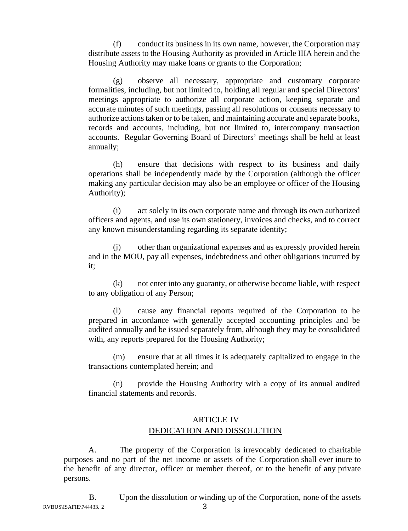(f) conduct its business in its own name, however, the Corporation may distribute assets to the Housing Authority as provided in Article IIIA herein and the Housing Authority may make loans or grants to the Corporation;

(g) observe all necessary, appropriate and customary corporate formalities, including, but not limited to, holding all regular and special Directors' meetings appropriate to authorize all corporate action, keeping separate and accurate minutes of such meetings, passing all resolutions or consents necessary to authorize actions taken or to be taken, and maintaining accurate and separate books, records and accounts, including, but not limited to, intercompany transaction accounts. Regular Governing Board of Directors' meetings shall be held at least annually;

(h) ensure that decisions with respect to its business and daily operations shall be independently made by the Corporation (although the officer making any particular decision may also be an employee or officer of the Housing Authority);

(i) act solely in its own corporate name and through its own authorized officers and agents, and use its own stationery, invoices and checks, and to correct any known misunderstanding regarding its separate identity;

(j) other than organizational expenses and as expressly provided herein and in the MOU, pay all expenses, indebtedness and other obligations incurred by it;

(k) not enter into any guaranty, or otherwise become liable, with respect to any obligation of any Person;

(l) cause any financial reports required of the Corporation to be prepared in accordance with generally accepted accounting principles and be audited annually and be issued separately from, although they may be consolidated with, any reports prepared for the Housing Authority;

(m) ensure that at all times it is adequately capitalized to engage in the transactions contemplated herein; and

(n) provide the Housing Authority with a copy of its annual audited financial statements and records.

# ARTICLE IV DEDICATION AND DISSOLUTION

A. The property of the Corporation is irrevocably dedicated to charitable purposes and no part of the net income or assets of the Corporation shall ever inure to the benefit of any director, officer or member thereof, or to the benefit of any private persons.

 $RVBUS \setminus \text{SAFIE} \setminus \text{744433}.$  2 3 B. Upon the dissolution or winding up of the Corporation, none of the assets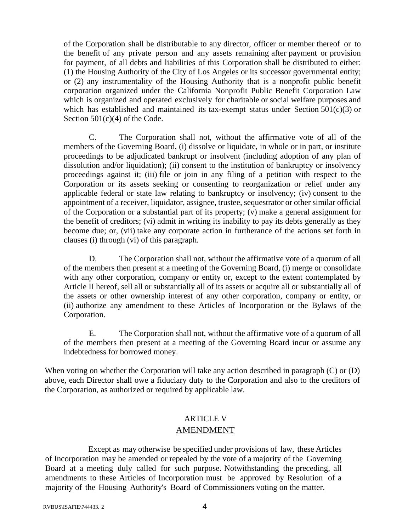of the Corporation shall be distributable to any director, officer or member thereof or to the benefit of any private person and any assets remaining after payment or provision for payment, of all debts and liabilities of this Corporation shall be distributed to either: (1) the Housing Authority of the City of Los Angeles or its successor governmental entity; or (2) any instrumentality of the Housing Authority that is a nonprofit public benefit corporation organized under the California Nonprofit Public Benefit Corporation Law which is organized and operated exclusively for charitable or social welfare purposes and which has established and maintained its tax-exempt status under Section 501(c)(3) or Section 501(c)(4) of the Code.

C. The Corporation shall not, without the affirmative vote of all of the members of the Governing Board, (i) dissolve or liquidate, in whole or in part, or institute proceedings to be adjudicated bankrupt or insolvent (including adoption of any plan of dissolution and/or liquidation); (ii) consent to the institution of bankruptcy or insolvency proceedings against it; (iii) file or join in any filing of a petition with respect to the Corporation or its assets seeking or consenting to reorganization or relief under any applicable federal or state law relating to bankruptcy or insolvency; (iv) consent to the appointment of a receiver, liquidator, assignee, trustee, sequestrator or other similar official of the Corporation or a substantial part of its property; (v) make a general assignment for the benefit of creditors; (vi) admit in writing its inability to pay its debts generally as they become due; or, (vii) take any corporate action in furtherance of the actions set forth in clauses (i) through (vi) of this paragraph.

D. The Corporation shall not, without the affirmative vote of a quorum of all of the members then present at a meeting of the Governing Board, (i) merge or consolidate with any other corporation, company or entity or, except to the extent contemplated by Article II hereof, sell all or substantially all of its assets or acquire all or substantially all of the assets or other ownership interest of any other corporation, company or entity, or (ii) authorize any amendment to these Articles of Incorporation or the Bylaws of the Corporation.

E. The Corporation shall not, without the affirmative vote of a quorum of all of the members then present at a meeting of the Governing Board incur or assume any indebtedness for borrowed money.

When voting on whether the Corporation will take any action described in paragraph (C) or (D) above, each Director shall owe a fiduciary duty to the Corporation and also to the creditors of the Corporation, as authorized or required by applicable law.

# ARTICLE V AMENDMENT

Except as may otherwise be specified under provisions of law, these Articles of Incorporation may be amended or repealed by the vote of a majority of the Governing Board at a meeting duly called for such purpose. Notwithstanding the preceding, all amendments to these Articles of Incorporation must be approved by Resolution of a majority of the Housing Authority's Board of Commissioners voting on the matter.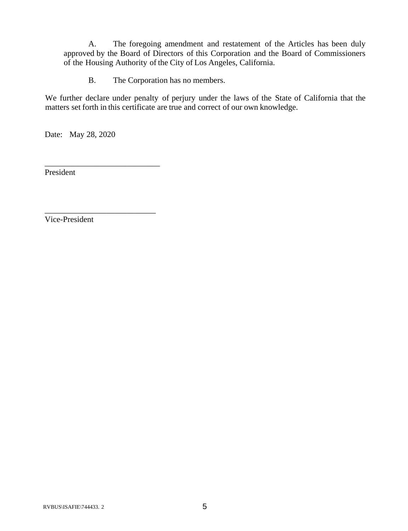A. The foregoing amendment and restatement of the Articles has been duly approved by the Board of Directors of this Corporation and the Board of Commissioners of the Housing Authority of the City of Los Angeles, California.

B. The Corporation has no members.

We further declare under penalty of perjury under the laws of the State of California that the matters set forth in this certificate are true and correct of our own knowledge.

Date: May 28, 2020

\_\_\_\_\_\_\_\_\_\_\_\_\_\_\_\_\_\_\_\_\_\_\_\_\_\_\_\_

\_\_\_\_\_\_\_\_\_\_\_\_\_\_\_\_\_\_\_\_\_\_\_\_\_\_\_

President

Vice-President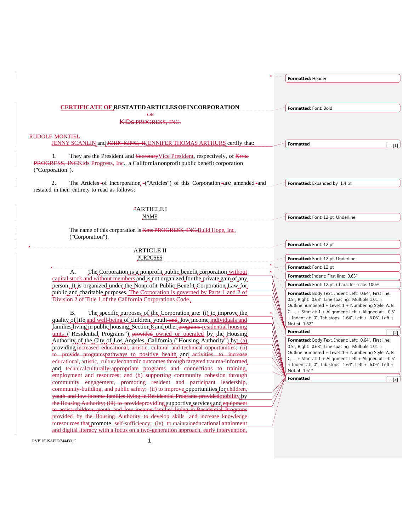|                                                                                                                                                                | Formatted: Header                                                                                           |              |
|----------------------------------------------------------------------------------------------------------------------------------------------------------------|-------------------------------------------------------------------------------------------------------------|--------------|
|                                                                                                                                                                |                                                                                                             |              |
|                                                                                                                                                                |                                                                                                             |              |
|                                                                                                                                                                |                                                                                                             |              |
| <b>CERTIFICATE OF RESTATED ARTICLES OF INCORPORATION</b>                                                                                                       | Formatted: Font: Bold                                                                                       |              |
| ΘF<br><b>KIDS PROGRESS, INC.</b>                                                                                                                               |                                                                                                             |              |
|                                                                                                                                                                |                                                                                                             |              |
| <b>RUDOLE MONTIEL</b>                                                                                                                                          |                                                                                                             |              |
| JENNY SCANLIN and JOHN KING, HJENNIFER THOMAS ARTHURS certify that:                                                                                            | <b>Formatted</b>                                                                                            | [1] ]        |
|                                                                                                                                                                |                                                                                                             |              |
| They are the President and Secretary Vice President, respectively, of Kms<br>1.                                                                                |                                                                                                             |              |
| <b>PROGRESS, INCK</b> ids Progress, Inc., a California nonprofit public benefit corporation<br>("Corporation").                                                |                                                                                                             |              |
|                                                                                                                                                                |                                                                                                             |              |
| 2.<br>The Articles of Incorporation ("Articles") of this Corporation are amended and                                                                           | Formatted: Expanded by 1.4 pt                                                                               |              |
| restated in their entirety to read as follows:                                                                                                                 |                                                                                                             |              |
|                                                                                                                                                                |                                                                                                             |              |
| <del>"</del> ARTICLEI                                                                                                                                          |                                                                                                             |              |
| <b>NAME</b>                                                                                                                                                    | Formatted: Font: 12 pt, Underline                                                                           |              |
|                                                                                                                                                                |                                                                                                             |              |
| The name of this corporation is Kms PROGRESS, INC. Build Hope, Inc.                                                                                            |                                                                                                             |              |
| ("Corporation").                                                                                                                                               |                                                                                                             |              |
| <b>ARTICLE II</b>                                                                                                                                              | Formatted: Font: 12 pt                                                                                      |              |
| <b>PURPOSES</b>                                                                                                                                                |                                                                                                             |              |
|                                                                                                                                                                | Formatted: Font: 12 pt, Underline                                                                           |              |
| The Corporation is a nonprofit public benefit corporation without<br>A.                                                                                        | Formatted: Font: 12 pt                                                                                      |              |
| capital stock and without members and is not organized for the private gain of any                                                                             | Formatted: Indent: First line: 0.63"                                                                        |              |
| person. It is organized under the Nonprofit Public Benefit Corporation Law for                                                                                 | Formatted: Font: 12 pt, Character scale: 100%                                                               |              |
| public and charitable purposes. The Corporation is governed by Parts 1 and 2 of                                                                                | Formatted: Body Text, Indent: Left: 0.64", First line:                                                      |              |
| Division 2 of Title 1 of the California Corporations Code.                                                                                                     | 0.5", Right: 0.63", Line spacing: Multiple 1.01 li,<br>Outline numbered + Level: 1 + Numbering Style: A, B, |              |
| <b>B.</b><br>The specific purposes of the Corporation are: (i) to improve the                                                                                  | C,  + Start at: 1 + Alignment: Left + Aligned at: -0.5"                                                     |              |
| quality of life and well-being of children, youth and low income individuals and                                                                               | + Indent at: 0", Tab stops: 1.64", Left + 6.06", Left +                                                     |              |
| families living in public housing, Section 8 and other programs-residential housing                                                                            | Not at 1.62"                                                                                                |              |
| units ("Residential Programs") provided owned or operated by the Housing                                                                                       | <b>Formatted</b>                                                                                            | [2]          |
| Authority of the City of Los Angeles, California ("Housing Authority") by: (a)                                                                                 | Formatted: Body Text, Indent: Left: 0.64", First line:                                                      |              |
| providing increased educational, artistic, cultural and technical opportunities; (ii)                                                                          | 0.5", Right: 0.63", Line spacing: Multiple 1.01 li,<br>Outline numbered + Level: 1 + Numbering Style: A, B, |              |
| to provide programspathways to positive health and activities to increase                                                                                      | C,  + Start at: 1 + Alignment: Left + Aligned at: -0.5"                                                     |              |
| educational, artistic, culturaleconomic outcomes through targeted trauma-informed<br>and technicalculturally-appropriate programs and connections to training, | + Indent at: 0", Tab stops: 1.64", Left + 6.06", Left +                                                     |              |
| employment and resources; and (b) supporting community cohesion through                                                                                        | Not at 1.61"                                                                                                |              |
| community engagement, promoting resident and participant leadership,                                                                                           | <b>Formatted</b>                                                                                            | $\ldots$ [3] |
| community-building, and public safety; (ii) to improve opportunities for children,                                                                             |                                                                                                             |              |
| youth and low income families living in Residential Programs provided mobility by                                                                              |                                                                                                             |              |
| the Housing Authority; (iii) to provideproviding supportive services and equipment                                                                             |                                                                                                             |              |
| to assist children, youth and low income families living in Residential Programs                                                                               |                                                                                                             |              |
| provided by the Housing Authority to develop skills and increase knowledge                                                                                     |                                                                                                             |              |
| to the sources that promote self sufficiency; (iv) to maintained ucational attainment                                                                          |                                                                                                             |              |

RVBUS\ISAFIE\744433. 2 1

and digital literacy with a focus on a two-generation approach, early intervention,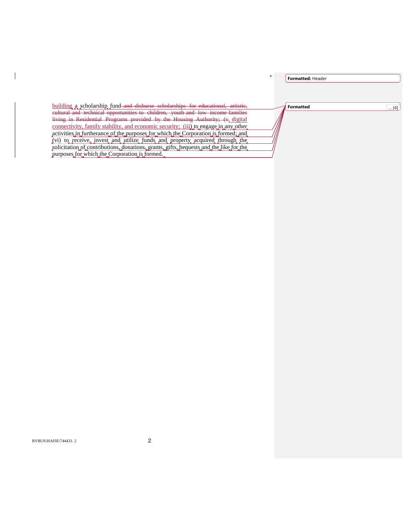|                                                                                                                                                                           | Formatted: Header       |
|---------------------------------------------------------------------------------------------------------------------------------------------------------------------------|-------------------------|
|                                                                                                                                                                           |                         |
| building a scholarship fund and disburse scholarships for educational, artistic,                                                                                          | <b>Formatted</b><br>[4] |
| cultural and technical opportunities to children, youth and low income families<br>living in Residential Programs provided by the Housing Authority; (v, digital          |                         |
| connectivity, family stability, and economic security; (iii) to engage in any other<br>activities in furtherance of the purposes for which the Corporation is formed; and |                         |
| (vi) to receive, invest and utilize funds and property acquired through the                                                                                               |                         |
| solicitation of contributions, donations, grants, gifts, bequests and the like for the<br>purposes for which the Corporation is formed.                                   |                         |

 $\overline{\phantom{a}}$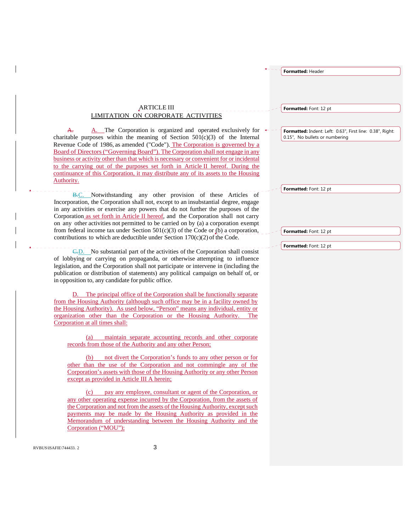|                                                                                                                                                                                                                                                                                                                                                                                                                                                                                                                                                                                                                    | Formatted: Header                                                                           |
|--------------------------------------------------------------------------------------------------------------------------------------------------------------------------------------------------------------------------------------------------------------------------------------------------------------------------------------------------------------------------------------------------------------------------------------------------------------------------------------------------------------------------------------------------------------------------------------------------------------------|---------------------------------------------------------------------------------------------|
|                                                                                                                                                                                                                                                                                                                                                                                                                                                                                                                                                                                                                    |                                                                                             |
|                                                                                                                                                                                                                                                                                                                                                                                                                                                                                                                                                                                                                    |                                                                                             |
|                                                                                                                                                                                                                                                                                                                                                                                                                                                                                                                                                                                                                    |                                                                                             |
| <b>ARTICLE III</b>                                                                                                                                                                                                                                                                                                                                                                                                                                                                                                                                                                                                 | Formatted: Font: 12 pt                                                                      |
| LIMITATION ON CORPORATE ACTIVITIES                                                                                                                                                                                                                                                                                                                                                                                                                                                                                                                                                                                 |                                                                                             |
| A. The Corporation is organized and operated exclusively for<br><del>A.</del><br>charitable purposes within the meaning of Section $501(c)(3)$ of the Internal<br>Revenue Code of 1986, as amended ("Code"). The Corporation is governed by a<br>Board of Directors ("Governing Board"). The Corporation shall not engage in any<br>business or activity other than that which is necessary or convenient for or incidental<br>to the carrying out of the purposes set forth in Article II hereof. During the<br>continuance of this Corporation, it may distribute any of its assets to the Housing<br>Authority. | Formatted: Indent: Left: 0.63", First line: 0.38", Right:<br>0.15", No bullets or numbering |
| B.C. Notwithstanding any other provision of these Articles of                                                                                                                                                                                                                                                                                                                                                                                                                                                                                                                                                      | Formatted: Font: 12 pt                                                                      |
| Incorporation, the Corporation shall not, except to an insubstantial degree, engage<br>in any activities or exercise any powers that do not further the purposes of the<br>Corporation as set forth in Article II hereof, and the Corporation shall not carry<br>on any other activities not permitted to be carried on by (a) a corporation exempt<br>from federal income tax under Section $501(c)(3)$ of the Code or (b) a corporation,<br>contributions to which are deductible under Section $170(c)(2)$ of the Code.                                                                                         | Formatted: Font: 12 pt                                                                      |
| $\overline{\text{C-D}}$ . No substantial part of the activities of the Corporation shall consist                                                                                                                                                                                                                                                                                                                                                                                                                                                                                                                   | Formatted: Font: 12 pt                                                                      |
| of lobbying or carrying on propaganda, or otherwise attempting to influence<br>legislation, and the Corporation shall not participate or intervene in (including the<br>publication or distribution of statements) any political campaign on behalf of, or<br>in opposition to, any candidate for public office.                                                                                                                                                                                                                                                                                                   |                                                                                             |
| D. The principal office of the Corporation shall be functionally separate                                                                                                                                                                                                                                                                                                                                                                                                                                                                                                                                          |                                                                                             |
| from the Housing Authority (although such office may be in a facility owned by<br>the Housing Authority). As used below, "Person" means any individual, entity or<br>organization other than the Corporation or the Housing Authority.<br>The                                                                                                                                                                                                                                                                                                                                                                      |                                                                                             |
| Corporation at all times shall:                                                                                                                                                                                                                                                                                                                                                                                                                                                                                                                                                                                    |                                                                                             |
| maintain separate accounting records and other corporate<br>(a)<br>records from those of the Authority and any other Person;                                                                                                                                                                                                                                                                                                                                                                                                                                                                                       |                                                                                             |
| not divert the Corporation's funds to any other person or for<br>(b)                                                                                                                                                                                                                                                                                                                                                                                                                                                                                                                                               |                                                                                             |
| other than the use of the Corporation and not commingle any of the<br>Corporation's assets with those of the Housing Authority or any other Person                                                                                                                                                                                                                                                                                                                                                                                                                                                                 |                                                                                             |
| except as provided in Article III A herein;                                                                                                                                                                                                                                                                                                                                                                                                                                                                                                                                                                        |                                                                                             |
| pay any employee, consultant or agent of the Corporation, or<br>(c)<br>any other operating expense incurred by the Corporation, from the assets of<br>the Corporation and not from the assets of the Housing Authority, except such<br>payments may be made by the Housing Authority as provided in the<br>Memorandum of understanding between the Housing Authority and the<br>Corporation ("MOU");                                                                                                                                                                                                               |                                                                                             |
| 3<br>RVBUS\ISAFIE\744433.2                                                                                                                                                                                                                                                                                                                                                                                                                                                                                                                                                                                         |                                                                                             |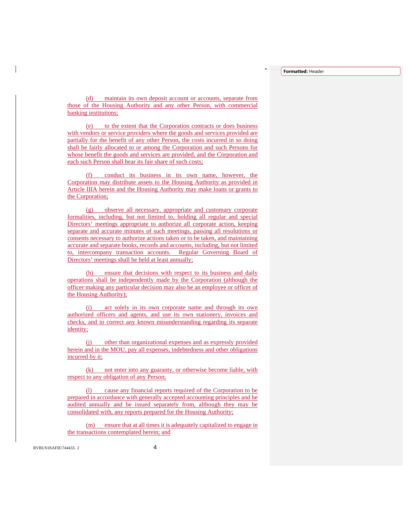**Formatted:** Header

(d) maintain its own deposit account or accounts, separate from those of the Housing Authority and any other Person, with commercial banking institutions;

(e) to the extent that the Corporation contracts or does business with vendors or service providers where the goods and services provided are partially for the benefit of any other Person, the costs incurred in so doing shall be fairly allocated to or among the Corporation and such Persons for whose benefit the goods and services are provided, and the Corporation and each such Person shall bear its fair share of such costs;

(f) conduct its business in its own name, however, the Corporation may distribute assets to the Housing Authority as provided in Article IIIA herein and the Housing Authority may make loans or grants to the Corporation;

(g) observe all necessary, appropriate and customary corporate formalities, including, but not limited to, holding all regular and special Directors' meetings appropriate to authorize all corporate action, keeping separate and accurate minutes of such meetings, passing all resolutions or consents necessary to authorize actions taken or to be taken, and maintaining accurate and separate books, records and accounts, including, but not limited to, intercompany transaction accounts. Regular Governing Board of Directors' meetings shall be held at least annually;

(h) ensure that decisions with respect to its business and daily operations shall be independently made by the Corporation (although the officer making any particular decision may also be an employee or officer of the Housing Authority);

act solely in its own corporate name and through its own authorized officers and agents, and use its own stationery, invoices and checks, and to correct any known misunderstanding regarding its separate identity;

(j) other than organizational expenses and as expressly provided herein and in the MOU, pay all expenses, indebtedness and other obligations incurred by it;

(k) not enter into any guaranty, or otherwise become liable, with respect to any obligation of any Person;

(l) cause any financial reports required of the Corporation to be prepared in accordance with generally accepted accounting principles and be audited annually and be issued separately from, although they may be consolidated with, any reports prepared for the Housing Authority;

(m) ensure that at all times it is adequately capitalized to engage in the transactions contemplated herein; and

RVBUS\ISAFIE\744433. 2 4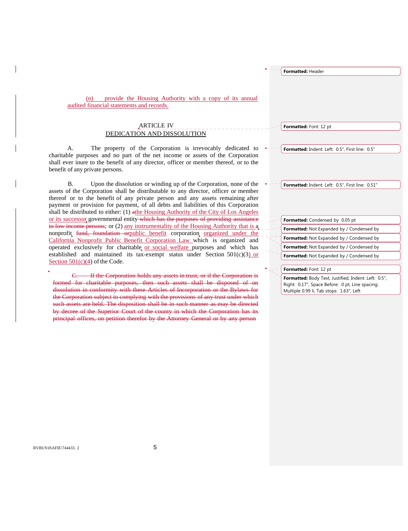(n) provide the Housing Authority with a copy of its annual audited financial statements and records. ARTICLE IV DEDICATION AND DISSOLUTION A. The property of the Corporation is irrevocably dedicated to charitable purposes and no part of the net income or assets of the Corporation shall ever inure to the benefit of any director, officer or member thereof, or to the benefit of any private persons. B. Upon the dissolution or winding up of the Corporation, none of the assets of the Corporation shall be distributable to any director, officer or member thereof or to the benefit of any private person and any assets remaining after payment or provision for payment, of all debts and liabilities of this Corporation shall be distributed to either: (1) athe Housing Authority of the City of Los Angeles or its successor governmental entity which has the purposes of providing assistance to low income persons; or (2) any instrumentality of the Housing Authority that is a nonprofit fund, foundation or public benefit corporation organized under the California Nonprofit Public Benefit Corporation Law which is organized and operated exclusively for charitable or social welfare purposes and which has established and maintained its tax-exempt status under Section  $501(c)(3)$  or Section 501(c)(4) of the Code. If the Corporation holds any assets in trust, or if the Corporation **Formatted:** Font: 12 pt **Formatted:** Indent: Left: 0.5", First line: 0.5" **Formatted:** Indent: Left: 0.5", First line: 0.51" **Formatted:** Condensed by 0.05 pt **Formatted:** Not Expanded by / Condensed by Formatted: Not Expanded by / Condensed by **Formatted:** Not Expanded by / Condensed by **Formatted:** Not Expanded by / Condensed by **Formatted:** Font: 12 pt **Formatted:** Body Text, Justified, Indent: Left: 0.5", Right: 0.17", Space Before: 0 pt, Line spacing:

**Formatted:** Header

Multiple 0.99 li, Tab stops: 1.63", Left

formed for charitable purposes, then such assets shall be disposed of on dissolution in conformity with these Articles of Incorporation or the Bylaws for the Corporation subject to complying with the provisions of any trust under which such assets are held. The disposition shall be in such manner as may be directed by decree of the Superior Court of the county in which the Corporation has its principal offices, on petition therefor by the Attorney General or by any person

RVBUS\ISAFIE\744433. 2 5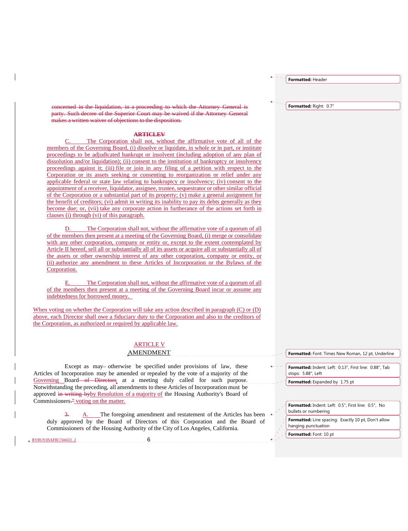**Formatted:** Header

**Formatted:** Right: 0.7"

concerned in the liquidation, in a proceeding to which the Attorney General is party. Such decree of the Superior Court may be waived if the Attorney General makes a written waiver of objections to the disposition.

#### **ARTICLEV**

The Corporation shall not, without the affirmative vote of all of the members of the Governing Board, (i) dissolve or liquidate, in whole or in part, or institute proceedings to be adjudicated bankrupt or insolvent (including adoption of any plan of dissolution and/or liquidation); (ii) consent to the institution of bankruptcy or insolvency proceedings against it; (iii) file or join in any filing of a petition with respect to the Corporation or its assets seeking or consenting to reorganization or relief under any applicable federal or state law relating to bankruptcy or insolvency; (iv) consent to the appointment of a receiver, liquidator, assignee, trustee, sequestrator or other similar official of the Corporation or a substantial part of its property; (v) make a general assignment for the benefit of creditors; (vi) admit in writing its inability to pay its debts generally as they become due; or, (vii) take any corporate action in furtherance of the actions set forth in clauses (i) through (vi) of this paragraph.

D. The Corporation shall not, without the affirmative vote of a quorum of all of the members then present at a meeting of the Governing Board, (i) merge or consolidate with any other corporation, company or entity or, except to the extent contemplated by Article II hereof, sell all or substantially all of its assets or acquire all or substantially all of the assets or other ownership interest of any other corporation, company or entity, or (ii) authorize any amendment to these Articles of Incorporation or the Bylaws of the Corporation.

E. The Corporation shall not, without the affirmative vote of a quorum of all of the members then present at a meeting of the Governing Board incur or assume any indebtedness for borrowed money.

When voting on whether the Corporation will take any action described in paragraph (C) or (D) above, each Director shall owe a fiduciary duty to the Corporation and also to the creditors of the Corporation, as authorized or required by applicable law.

### ARTICLE V

### AMENDMENT

Except as may-otherwise be specified under provisions of law, these Articles of Incorporation may be amended or repealed by the vote of a majority of the Governing Board of Directors at a meeting duly called for such purpose. Notwithstanding the preceding, all amendments to these Articles of Incorporation must be approved in writing byby Resolution of a majority of the Housing Authority's Board of Commissioners.<sup>"</sup> voting on the matter.

RVBUS\ISAFIE\744433. 2 6

A. The foregoing amendment and restatement of the Articles has been duly approved by the Board of Directors of this Corporation and the Board of Commissioners of the Housing Authority of the City of Los Angeles, California.

**Formatted:** Font: Times New Roman, 12 pt, Underline

**Formatted:** Indent: Left: 0.13", First line: 0.88", Tab stops: 5.88", Left

**Formatted:** Expanded by 1.75 pt

**Formatted:** Indent: Left: 0.5", First line: 0.5", No bullets or numbering

**Formatted:** Line spacing: Exactly 10 pt, Don't allow hanging punctuation

**Formatted:** Font: 10 pt